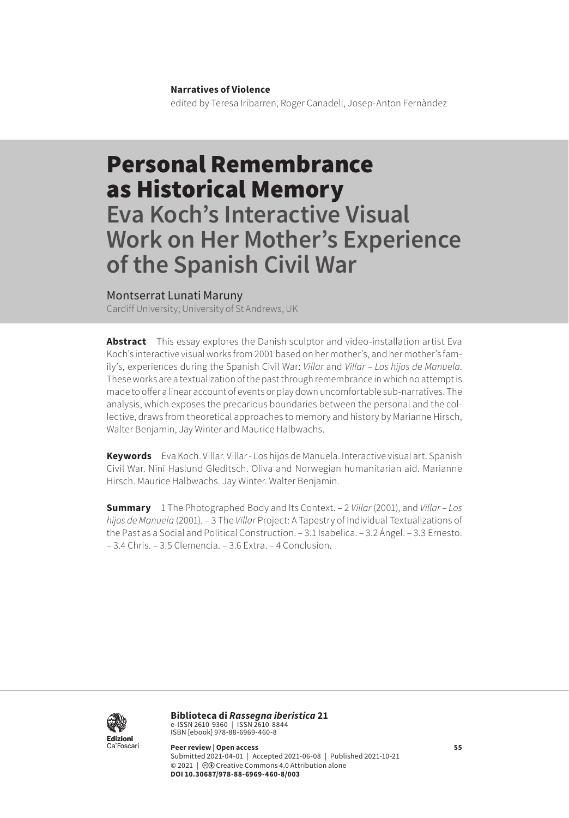#### **Narratives of Violence**

edited by Teresa Iribarren, Roger Canadell, Josep-Anton Fernàndez

# Personal Remembrance as Historical Memory **Eva Koch's Interactive Visual**

**Work on Her Mother's Experience of the Spanish Civil War**

### Montserrat Lunati Maruny

Cardiff University; University of St Andrews, UK

**Abstract** This essay explores the Danish sculptor and video-installation artist Eva Koch's interactive visual works from 2001 based on her mother's, and her mother's family's, experiences during the Spanish Civil War: *Villar* and *Villar – Los hijos de Manuela*. These works are a textualization of the past through remembrance in which no attempt is made to offer a linear account of events or play down uncomfortable sub-narratives. The analysis, which exposes the precarious boundaries between the personal and the collective, draws from theoretical approaches to memory and history by Marianne Hirsch, Walter Benjamin, Jay Winter and Maurice Halbwachs.

**Keywords** Eva Koch. Villar. Villar - Los hijos de Manuela. Interactive visual art. Spanish Civil War. Nini Haslund Gleditsch. Oliva and Norwegian humanitarian aid. Marianne Hirsch. Maurice Halbwachs. Jay Winter. Walter Benjamin.

**Summary** [1 The Photographed Body and Its Context.](#page-1-0) – 2 *Villar* [\(2001\), and](#page-11-0) *Villar – Los [hijos de Manuela](#page-11-0)* (2001). – 3 The *Villar* [Project: A Tapestry of Individual Textualizations of](#page-17-0)  [the Past as a Social and Political Construction](#page-17-0). – [3.1 Isabelica](#page-18-0). [– 3.2 Ángel](#page-18-0). – 3.3 [Ernest](#page-22-0)o. – [3.4 Chris.](#page-24-0) – [3.5 Clemencia.](#page-26-0) – [3.6 Extra](#page-27-0). – [4 Conclusion.](#page-28-0)



**Biblioteca di** *Rassegna iberistica* 21 e-ISSN 2610-9360 | ISSN 2610-8844<br>ISBN [ebook] 978-88-6969-460-8

**Peer review | Open access 55** Submitted 2021-04-01 | Accepted 2021-06-08 | Published 2021-10-21 © 2021 | @ Creative Commons 4.0 Attribution alone **DOI 10.30687/978-88-6969-460-8/003**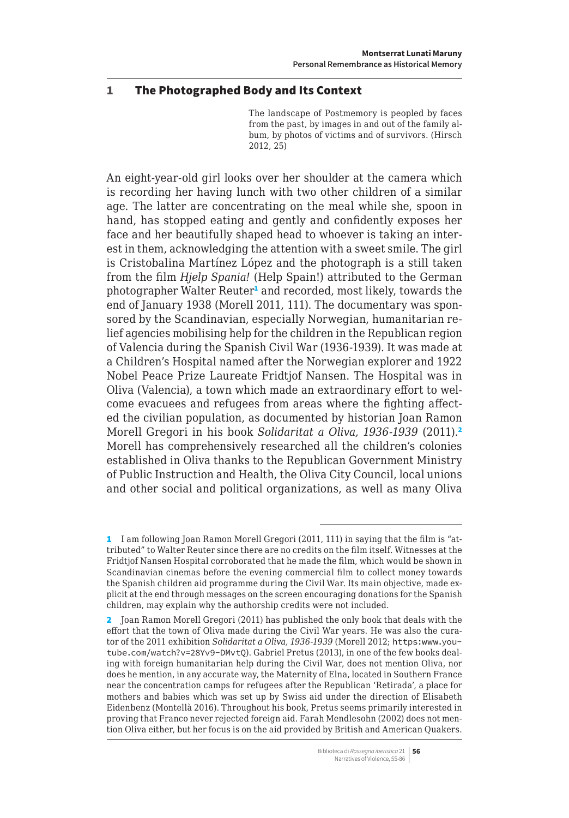### <span id="page-1-0"></span>1 The Photographed Body and Its Context

The landscape of Postmemory is peopled by faces from the past, by images in and out of the family album, by photos of victims and of survivors. (Hirsch 2012, 25)

An eight-year-old girl looks over her shoulder at the camera which is recording her having lunch with two other children of a similar age. The latter are concentrating on the meal while she, spoon in hand, has stopped eating and gently and confidently exposes her face and her beautifully shaped head to whoever is taking an interest in them, acknowledging the attention with a sweet smile. The girl is Cristobalina Martínez López and the photograph is a still taken from the film *Hjelp Spania!* (Help Spain!) attributed to the German photographer Walter Reuter<sup>1</sup> and recorded, most likely, towards the end of January 1938 (Morell 2011, 111). The documentary was sponsored by the Scandinavian, especially Norwegian, humanitarian relief agencies mobilising help for the children in the Republican region of Valencia during the Spanish Civil War (1936-1939). It was made at a Children's Hospital named after the Norwegian explorer and 1922 Nobel Peace Prize Laureate Fridtjof Nansen. The Hospital was in Oliva (Valencia), a town which made an extraordinary effort to welcome evacuees and refugees from areas where the fighting affected the civilian population, as documented by historian Joan Ramon Morell Gregori in his book *Solidaritat a Oliva, 1936-1939* (2011).<sup>2</sup> Morell has comprehensively researched all the children's colonies established in Oliva thanks to the Republican Government Ministry of Public Instruction and Health, the Oliva City Council, local unions and other social and political organizations, as well as many Oliva

<sup>1</sup> I am following Joan Ramon Morell Gregori (2011, 111) in saying that the film is "attributed" to Walter Reuter since there are no credits on the film itself. Witnesses at the Fridtjof Nansen Hospital corroborated that he made the film, which would be shown in Scandinavian cinemas before the evening commercial film to collect money towards the Spanish children aid programme during the Civil War. Its main objective, made explicit at the end through messages on the screen encouraging donations for the Spanish children, may explain why the authorship credits were not included.

<sup>2</sup> Joan Ramon Morell Gregori (2011) has published the only book that deals with the effort that the town of Oliva made during the Civil War years. He was also the curator of the 2011 exhibition *Solidaritat a Oliva, 1936-1939* (Morell 2012; [https:www.you](https:www.youtube.com/watch?v=28Yv9-DMvtQ)[tube.com/watch?v=28Yv9-DMvtQ](https:www.youtube.com/watch?v=28Yv9-DMvtQ)). Gabriel Pretus (2013), in one of the few books dealing with foreign humanitarian help during the Civil War, does not mention Oliva, nor does he mention, in any accurate way, the Maternity of Elna, located in Southern France near the concentration camps for refugees after the Republican 'Retirada', a place for mothers and babies which was set up by Swiss aid under the direction of Elisabeth Eidenbenz (Montellà 2016). Throughout his book, Pretus seems primarily interested in proving that Franco never rejected foreign aid. Farah Mendlesohn (2002) does not mention Oliva either, but her focus is on the aid provided by British and American Quakers.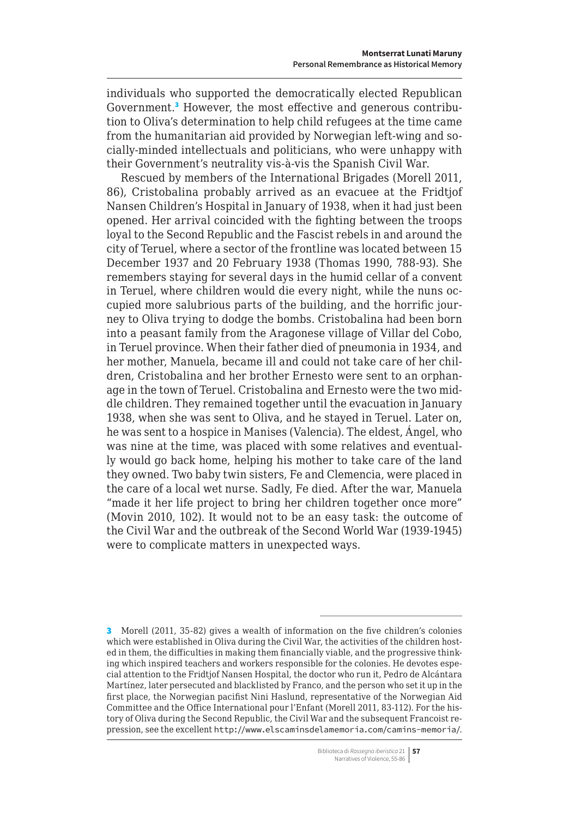individuals who supported the democratically elected Republican Government.<sup>3</sup> However, the most effective and generous contribution to Oliva's determination to help child refugees at the time came from the humanitarian aid provided by Norwegian left-wing and socially-minded intellectuals and politicians, who were unhappy with their Government's neutrality vis-à-vis the Spanish Civil War.

Rescued by members of the International Brigades (Morell 2011, 86), Cristobalina probably arrived as an evacuee at the Fridtjof Nansen Children's Hospital in January of 1938, when it had just been opened. Her arrival coincided with the fighting between the troops loyal to the Second Republic and the Fascist rebels in and around the city of Teruel, where a sector of the frontline was located between 15 December 1937 and 20 February 1938 (Thomas 1990, 788-93). She remembers staying for several days in the humid cellar of a convent in Teruel, where children would die every night, while the nuns occupied more salubrious parts of the building, and the horrific journey to Oliva trying to dodge the bombs. Cristobalina had been born into a peasant family from the Aragonese village of Villar del Cobo, in Teruel province. When their father died of pneumonia in 1934, and her mother, Manuela, became ill and could not take care of her children, Cristobalina and her brother Ernesto were sent to an orphanage in the town of Teruel. Cristobalina and Ernesto were the two middle children. They remained together until the evacuation in January 1938, when she was sent to Oliva, and he stayed in Teruel. Later on, he was sent to a hospice in Manises (Valencia). The eldest, Ángel, who was nine at the time, was placed with some relatives and eventually would go back home, helping his mother to take care of the land they owned. Two baby twin sisters, Fe and Clemencia, were placed in the care of a local wet nurse. Sadly, Fe died. After the war, Manuela "made it her life project to bring her children together once more" (Movin 2010, 102). It would not to be an easy task: the outcome of the Civil War and the outbreak of the Second World War (1939-1945) were to complicate matters in unexpected ways.

<sup>3</sup> Morell (2011, 35-82) gives a wealth of information on the five children's colonies which were established in Oliva during the Civil War, the activities of the children hosted in them, the difficulties in making them financially viable, and the progressive thinking which inspired teachers and workers responsible for the colonies. He devotes especial attention to the Fridtjof Nansen Hospital, the doctor who run it, Pedro de Alcántara Martínez, later persecuted and blacklisted by Franco, and the person who set it up in the first place, the Norwegian pacifist Nini Haslund, representative of the Norwegian Aid Committee and the Office International pour l'Enfant (Morell 2011, 83-112). For the history of Oliva during the Second Republic, the Civil War and the subsequent Francoist repression, see the excellent <http://www.elscaminsdelamemoria.com/camins-memoria/>.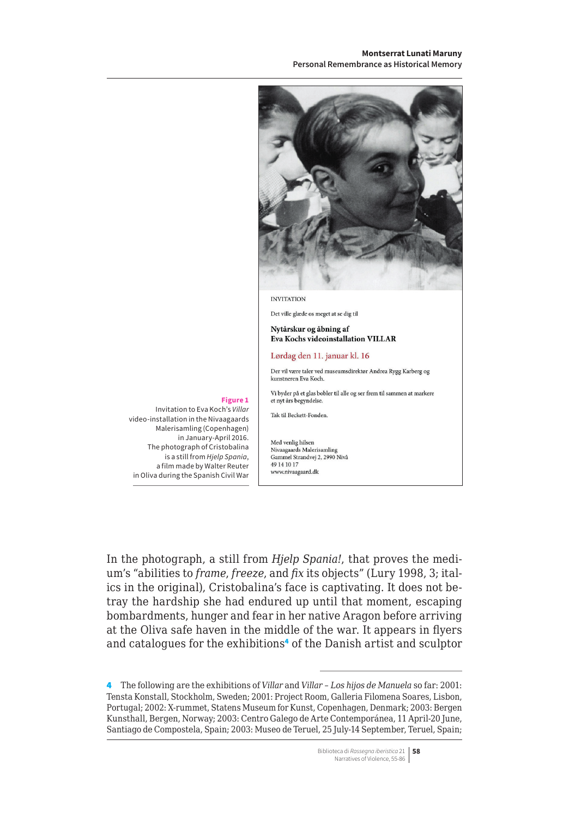#### **Montserrat Lunati Maruny Personal Remembrance as Historical Memory**

#### **INVITATION**

Det ville glæde os meget at se dig til

Nytårskur og åbning af Eva Kochs videoinstallation VILLAR

#### Lørdag den 11. januar kl. 16

Der vil være taler ved museumsdirektør Andrea Rygg Karberg og kunstneren Eva Koch.

Vi byder på et glas bobler til alle og ser frem til sammen at markere et nyt års begyndelse.

Tak til Beckett-Fonden.

Med venlig hilsen Nivaagaards Malerisamling Gammel Strandvej 2, 2990 Nivå 49 14 10 17 www.nivaagaard.dk

In the photograph, a still from *Hjelp Spania!*, that proves the medium's "abilities to *frame*, *freeze*, and *fix* its objects" (Lury 1998, 3; italics in the original), Cristobalina's face is captivating. It does not betray the hardship she had endured up until that moment, escaping bombardments, hunger and fear in her native Aragon before arriving at the Oliva safe haven in the middle of the war. It appears in flyers and catalogues for the exhibitions<sup>4</sup> of the Danish artist and sculptor

4 The following are the exhibitions of *Villar* and *Villar – Los hijos de Manuela* so far: 2001: Tensta Konstall, Stockholm, Sweden; 2001: Project Room, Galleria Filomena Soares, Lisbon, Portugal; 2002: X-rummet, Statens Museum for Kunst, Copenhagen, Denmark; 2003: Bergen Kunsthall, Bergen, Norway; 2003: Centro Galego de Arte Contemporánea, 11 April-20 June, Santiago de Compostela, Spain; 2003: Museo de Teruel, 25 July-14 September, Teruel, Spain;

#### Biblioteca di *Rassegna iberistica* 21 **58** Narratives of Violence, 55-86

#### **Figure 1**

Invitation to Eva Koch's *Villar* video-installation in the Nivaagaards Malerisamling (Copenhagen) in January-April 2016. The photograph of Cristobalina is a still from *Hjelp Spania*, a film made by Walter Reuter in Oliva during the Spanish Civil War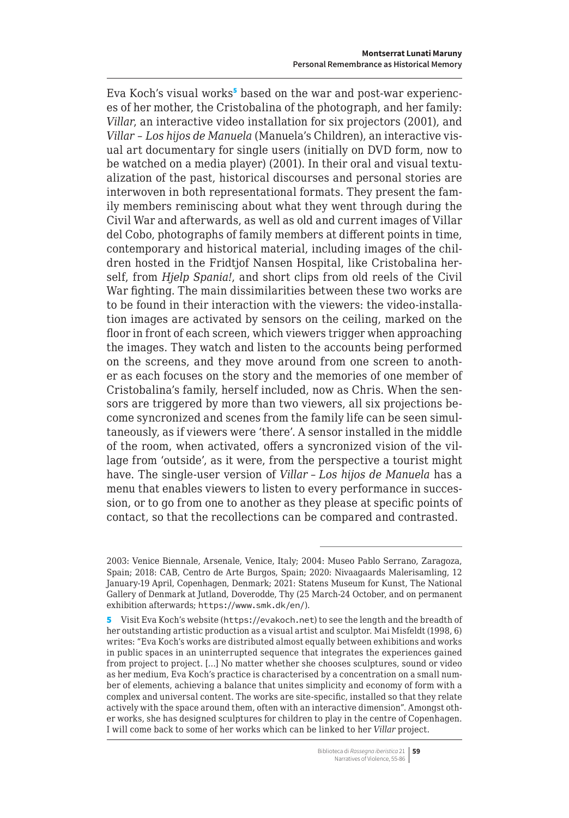Eva Koch's visual works<sup>5</sup> based on the war and post-war experiences of her mother, the Cristobalina of the photograph, and her family: *Villar*, an interactive video installation for six projectors (2001), and *Villar – Los hijos de Manuela* (Manuela's Children), an interactive visual art documentary for single users (initially on DVD form, now to be watched on a media player) (2001). In their oral and visual textualization of the past, historical discourses and personal stories are interwoven in both representational formats. They present the family members reminiscing about what they went through during the Civil War and afterwards, as well as old and current images of Villar del Cobo, photographs of family members at different points in time, contemporary and historical material, including images of the children hosted in the Fridtjof Nansen Hospital, like Cristobalina herself, from *Hjelp Spania!*, and short clips from old reels of the Civil War fighting. The main dissimilarities between these two works are to be found in their interaction with the viewers: the video-installation images are activated by sensors on the ceiling, marked on the floor in front of each screen, which viewers trigger when approaching the images. They watch and listen to the accounts being performed on the screens, and they move around from one screen to another as each focuses on the story and the memories of one member of Cristobalina's family, herself included, now as Chris. When the sensors are triggered by more than two viewers, all six projections become syncronized and scenes from the family life can be seen simultaneously, as if viewers were 'there'. A sensor installed in the middle of the room, when activated, offers a syncronized vision of the village from 'outside', as it were, from the perspective a tourist might have. The single-user version of *Villar – Los hijos de Manuela* has a menu that enables viewers to listen to every performance in succession, or to go from one to another as they please at specific points of contact, so that the recollections can be compared and contrasted.

<sup>2003:</sup> Venice Biennale, Arsenale, Venice, Italy; 2004: Museo Pablo Serrano, Zaragoza, Spain; 2018: CAB, Centro de Arte Burgos, Spain; 2020: Nivaagaards Malerisamling, 12 January-19 April, Copenhagen, Denmark; 2021: Statens Museum for Kunst, The National Gallery of Denmark at Jutland, Doverodde, Thy (25 March-24 October, and on permanent exhibition afterwards; <https://www.smk.dk/en/>).

<sup>5</sup> Visit Eva Koch's website (<https://evakoch.net>) to see the length and the breadth of her outstanding artistic production as a visual artist and sculptor. Mai Misfeldt (1998, 6) writes: "Eva Koch's works are distributed almost equally between exhibitions and works in public spaces in an uninterrupted sequence that integrates the experiences gained from project to project. […] No matter whether she chooses sculptures, sound or video as her medium, Eva Koch's practice is characterised by a concentration on a small number of elements, achieving a balance that unites simplicity and economy of form with a complex and universal content. The works are site-specific, installed so that they relate actively with the space around them, often with an interactive dimension". Amongst other works, she has designed sculptures for children to play in the centre of Copenhagen. I will come back to some of her works which can be linked to her *Villar* project.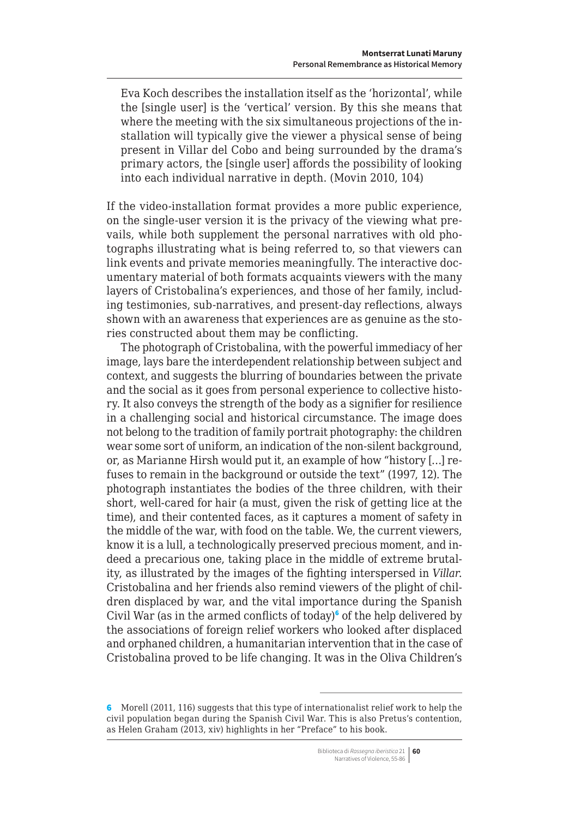Eva Koch describes the installation itself as the 'horizontal', while the [single user] is the 'vertical' version. By this she means that where the meeting with the six simultaneous projections of the installation will typically give the viewer a physical sense of being present in Villar del Cobo and being surrounded by the drama's primary actors, the [single user] affords the possibility of looking into each individual narrative in depth. (Movin 2010, 104)

If the video-installation format provides a more public experience, on the single-user version it is the privacy of the viewing what prevails, while both supplement the personal narratives with old photographs illustrating what is being referred to, so that viewers can link events and private memories meaningfully. The interactive documentary material of both formats acquaints viewers with the many layers of Cristobalina's experiences, and those of her family, including testimonies, sub-narratives, and present-day reflections, always shown with an awareness that experiences are as genuine as the stories constructed about them may be conflicting.

The photograph of Cristobalina, with the powerful immediacy of her image, lays bare the interdependent relationship between subject and context, and suggests the blurring of boundaries between the private and the social as it goes from personal experience to collective history. It also conveys the strength of the body as a signifier for resilience in a challenging social and historical circumstance. The image does not belong to the tradition of family portrait photography: the children wear some sort of uniform, an indication of the non-silent background, or, as Marianne Hirsh would put it, an example of how "history […] refuses to remain in the background or outside the text" (1997, 12). The photograph instantiates the bodies of the three children, with their short, well-cared for hair (a must, given the risk of getting lice at the time), and their contented faces, as it captures a moment of safety in the middle of the war, with food on the table. We, the current viewers, know it is a lull, a technologically preserved precious moment, and indeed a precarious one, taking place in the middle of extreme brutality, as illustrated by the images of the fighting interspersed in *Villar*. Cristobalina and her friends also remind viewers of the plight of children displaced by war, and the vital importance during the Spanish Civil War (as in the armed conflicts of today)<sup>6</sup> of the help delivered by the associations of foreign relief workers who looked after displaced and orphaned children, a humanitarian intervention that in the case of Cristobalina proved to be life changing. It was in the Oliva Children's

<sup>6</sup> Morell (2011, 116) suggests that this type of internationalist relief work to help the civil population began during the Spanish Civil War. This is also Pretus's contention, as Helen Graham (2013, xiv) highlights in her "Preface" to his book.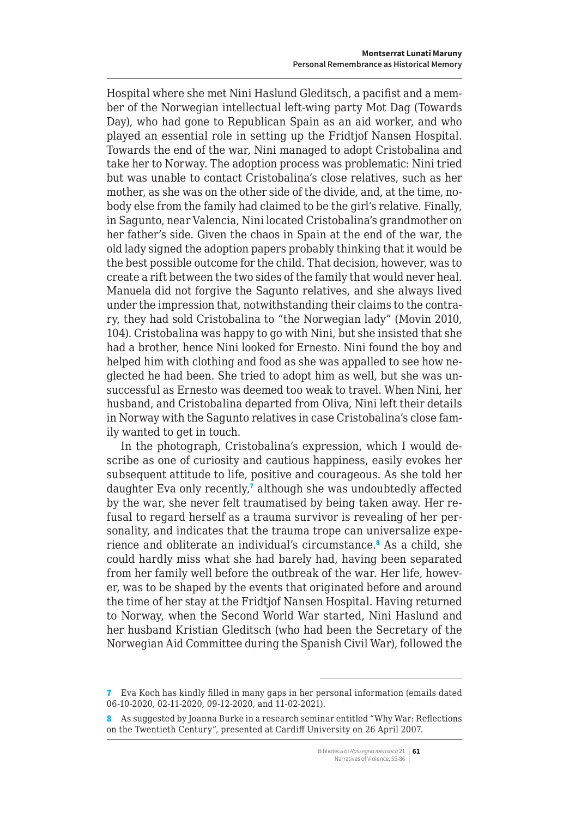Hospital where she met Nini Haslund Gleditsch, a pacifist and a member of the Norwegian intellectual left-wing party Mot Dag (Towards Day), who had gone to Republican Spain as an aid worker, and who played an essential role in setting up the Fridtjof Nansen Hospital. Towards the end of the war, Nini managed to adopt Cristobalina and take her to Norway. The adoption process was problematic: Nini tried but was unable to contact Cristobalina's close relatives, such as her mother, as she was on the other side of the divide, and, at the time, nobody else from the family had claimed to be the girl's relative. Finally, in Sagunto, near Valencia, Nini located Cristobalina's grandmother on her father's side. Given the chaos in Spain at the end of the war, the old lady signed the adoption papers probably thinking that it would be the best possible outcome for the child. That decision, however, was to create a rift between the two sides of the family that would never heal. Manuela did not forgive the Sagunto relatives, and she always lived under the impression that, notwithstanding their claims to the contrary, they had sold Cristobalina to "the Norwegian lady" (Movin 2010, 104). Cristobalina was happy to go with Nini, but she insisted that she had a brother, hence Nini looked for Ernesto. Nini found the boy and helped him with clothing and food as she was appalled to see how neglected he had been. She tried to adopt him as well, but she was unsuccessful as Ernesto was deemed too weak to travel. When Nini, her husband, and Cristobalina departed from Oliva, Nini left their details in Norway with the Sagunto relatives in case Cristobalina's close family wanted to get in touch.

In the photograph, Cristobalina's expression, which I would describe as one of curiosity and cautious happiness, easily evokes her subsequent attitude to life, positive and courageous. As she told her daughter Eva only recently,<sup>7</sup> although she was undoubtedly affected by the war, she never felt traumatised by being taken away. Her refusal to regard herself as a trauma survivor is revealing of her personality, and indicates that the trauma trope can universalize experience and obliterate an individual's circumstance.<sup>8</sup> As a child, she could hardly miss what she had barely had, having been separated from her family well before the outbreak of the war. Her life, however, was to be shaped by the events that originated before and around the time of her stay at the Fridtjof Nansen Hospital. Having returned to Norway, when the Second World War started, Nini Haslund and her husband Kristian Gleditsch (who had been the Secretary of the Norwegian Aid Committee during the Spanish Civil War), followed the

<sup>7</sup> Eva Koch has kindly filled in many gaps in her personal information (emails dated 06-10-2020, 02-11-2020, 09-12-2020, and 11-02-2021).

<sup>8</sup> As suggested by Joanna Burke in a research seminar entitled "Why War: Reflections" on the Twentieth Century", presented at Cardiff University on 26 April 2007.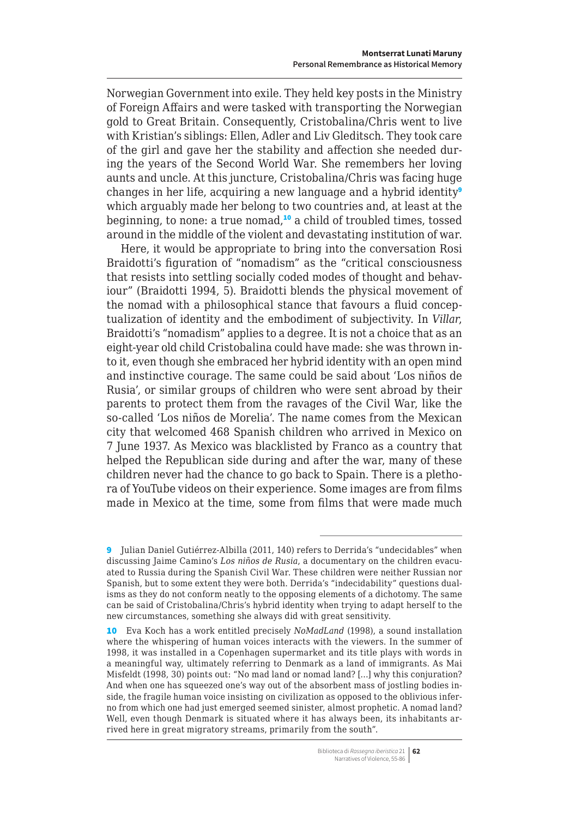Norwegian Government into exile. They held key posts in the Ministry of Foreign Affairs and were tasked with transporting the Norwegian gold to Great Britain. Consequently, Cristobalina/Chris went to live with Kristian's siblings: Ellen, Adler and Liv Gleditsch. They took care of the girl and gave her the stability and affection she needed during the years of the Second World War. She remembers her loving aunts and uncle. At this juncture, Cristobalina/Chris was facing huge changes in her life, acquiring a new language and a hybrid identity<sup>9</sup> which arguably made her belong to two countries and, at least at the beginning, to none: a true nomad,<sup>10</sup> a child of troubled times, tossed around in the middle of the violent and devastating institution of war.

Here, it would be appropriate to bring into the conversation Rosi Braidotti's figuration of "nomadism" as the "critical consciousness that resists into settling socially coded modes of thought and behaviour" (Braidotti 1994, 5). Braidotti blends the physical movement of the nomad with a philosophical stance that favours a fluid conceptualization of identity and the embodiment of subjectivity. In *Villar*, Braidotti's "nomadism" applies to a degree. It is not a choice that as an eight-year old child Cristobalina could have made: she was thrown into it, even though she embraced her hybrid identity with an open mind and instinctive courage. The same could be said about 'Los niños de Rusia', or similar groups of children who were sent abroad by their parents to protect them from the ravages of the Civil War, like the so-called 'Los niños de Morelia'. The name comes from the Mexican city that welcomed 468 Spanish children who arrived in Mexico on 7 June 1937. As Mexico was blacklisted by Franco as a country that helped the Republican side during and after the war, many of these children never had the chance to go back to Spain. There is a plethora of YouTube videos on their experience. Some images are from films made in Mexico at the time, some from films that were made much

<sup>9</sup> Julian Daniel Gutiérrez-Albilla (2011, 140) refers to Derrida's "undecidables" when discussing Jaime Camino's *Los niños de Rusia*, a documentary on the children evacuated to Russia during the Spanish Civil War. These children were neither Russian nor Spanish, but to some extent they were both. Derrida's "indecidability" questions dualisms as they do not conform neatly to the opposing elements of a dichotomy. The same can be said of Cristobalina/Chris's hybrid identity when trying to adapt herself to the new circumstances, something she always did with great sensitivity.

<sup>10</sup> Eva Koch has a work entitled precisely *NoMadLand* (1998), a sound installation where the whispering of human voices interacts with the viewers. In the summer of 1998, it was installed in a Copenhagen supermarket and its title plays with words in a meaningful way, ultimately referring to Denmark as a land of immigrants. As Mai Misfeldt (1998, 30) points out: "No mad land or nomad land? […] why this conjuration? And when one has squeezed one's way out of the absorbent mass of jostling bodies inside, the fragile human voice insisting on civilization as opposed to the oblivious inferno from which one had just emerged seemed sinister, almost prophetic. A nomad land? Well, even though Denmark is situated where it has always been, its inhabitants arrived here in great migratory streams, primarily from the south".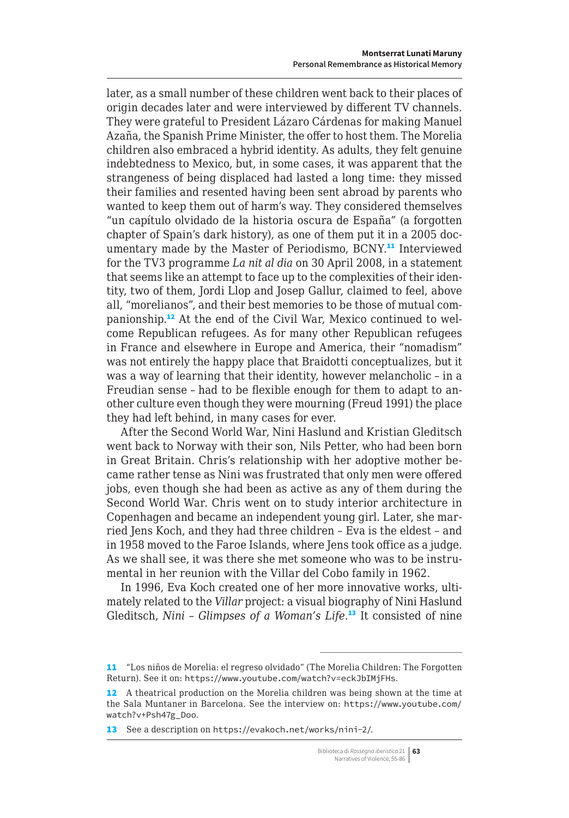later, as a small number of these children went back to their places of origin decades later and were interviewed by different TV channels. They were grateful to President Lázaro Cárdenas for making Manuel Azaña, the Spanish Prime Minister, the offer to host them. The Morelia children also embraced a hybrid identity. As adults, they felt genuine indebtedness to Mexico, but, in some cases, it was apparent that the strangeness of being displaced had lasted a long time: they missed their families and resented having been sent abroad by parents who wanted to keep them out of harm's way. They considered themselves "un capítulo olvidado de la historia oscura de España" (a forgotten chapter of Spain's dark history), as one of them put it in a 2005 documentary made by the Master of Periodismo, BCNY.<sup>11</sup> Interviewed for the TV3 programme *La nit al dia* on 30 April 2008, in a statement that seems like an attempt to face up to the complexities of their identity, two of them, Jordi Llop and Josep Gallur, claimed to feel, above all, "morelianos", and their best memories to be those of mutual companionship.12 At the end of the Civil War, Mexico continued to welcome Republican refugees. As for many other Republican refugees in France and elsewhere in Europe and America, their "nomadism" was not entirely the happy place that Braidotti conceptualizes, but it was a way of learning that their identity, however melancholic – in a Freudian sense – had to be flexible enough for them to adapt to another culture even though they were mourning (Freud 1991) the place they had left behind, in many cases for ever.

After the Second World War, Nini Haslund and Kristian Gleditsch went back to Norway with their son, Nils Petter, who had been born in Great Britain. Chris's relationship with her adoptive mother became rather tense as Nini was frustrated that only men were offered jobs, even though she had been as active as any of them during the Second World War. Chris went on to study interior architecture in Copenhagen and became an independent young girl. Later, she married Jens Koch, and they had three children – Eva is the eldest – and in 1958 moved to the Faroe Islands, where Jens took office as a judge. As we shall see, it was there she met someone who was to be instrumental in her reunion with the Villar del Cobo family in 1962.

In 1996, Eva Koch created one of her more innovative works, ultimately related to the *Villar* project: a visual biography of Nini Haslund Gleditsch, *Nini – Glimpses of a Woman's Life*. <sup>13</sup> It consisted of nine

<sup>11</sup> "Los niños de Morelia: el regreso olvidado" (The Morelia Children: The Forgotten Return). See it on: <https://www.youtube.com/watch?v=eckJbIMjFHs>.

<sup>12</sup> A theatrical production on the Morelia children was being shown at the time at the Sala Muntaner in Barcelona. See the interview on: [https://www.youtube.com/](https://www.youtube.com/watch?v+Psh47g_Doo) [watch?v+Psh47g\\_Doo](https://www.youtube.com/watch?v+Psh47g_Doo).

<sup>13</sup> See a description on <https://evakoch.net/works/nini-2/>.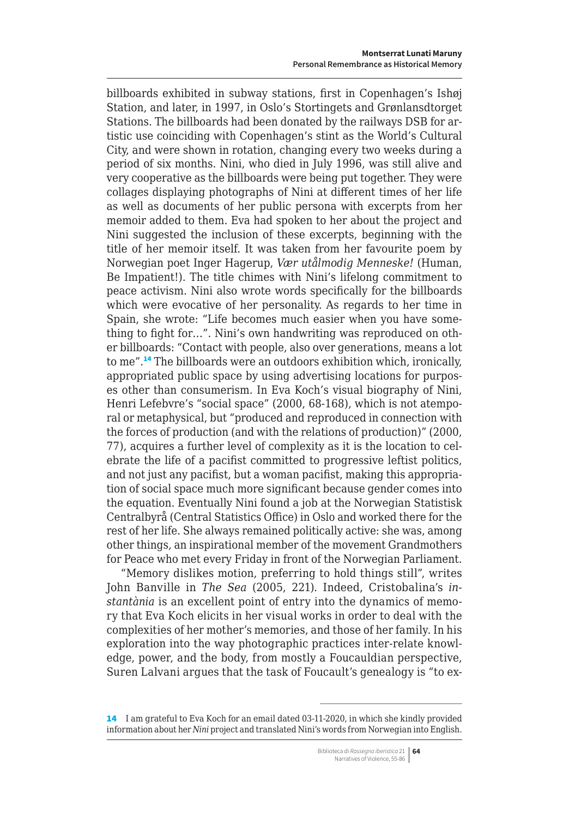billboards exhibited in subway stations, first in Copenhagen's Ishøj Station, and later, in 1997, in Oslo's Stortingets and Grønlansdtorget Stations. The billboards had been donated by the railways DSB for artistic use coinciding with Copenhagen's stint as the World's Cultural City, and were shown in rotation, changing every two weeks during a period of six months. Nini, who died in July 1996, was still alive and very cooperative as the billboards were being put together. They were collages displaying photographs of Nini at different times of her life as well as documents of her public persona with excerpts from her memoir added to them. Eva had spoken to her about the project and Nini suggested the inclusion of these excerpts, beginning with the title of her memoir itself. It was taken from her favourite poem by Norwegian poet Inger Hagerup, *Vær utålmodig Menneske!* (Human, Be Impatient!). The title chimes with Nini's lifelong commitment to peace activism. Nini also wrote words specifically for the billboards which were evocative of her personality. As regards to her time in Spain, she wrote: "Life becomes much easier when you have something to fight for…". Nini's own handwriting was reproduced on other billboards: "Contact with people, also over generations, means a lot to me".<sup>14</sup> The billboards were an outdoors exhibition which, ironically, appropriated public space by using advertising locations for purposes other than consumerism. In Eva Koch's visual biography of Nini, Henri Lefebvre's "social space" (2000, 68-168), which is not atemporal or metaphysical, but "produced and reproduced in connection with the forces of production (and with the relations of production)" (2000, 77), acquires a further level of complexity as it is the location to celebrate the life of a pacifist committed to progressive leftist politics, and not just any pacifist, but a woman pacifist, making this appropriation of social space much more significant because gender comes into the equation. Eventually Nini found a job at the Norwegian Statistisk Centralbyrå (Central Statistics Office) in Oslo and worked there for the rest of her life. She always remained politically active: she was, among other things, an inspirational member of the movement Grandmothers for Peace who met every Friday in front of the Norwegian Parliament.

"Memory dislikes motion, preferring to hold things still", writes John Banville in *The Sea* (2005, 221). Indeed, Cristobalina's *instantània* is an excellent point of entry into the dynamics of memory that Eva Koch elicits in her visual works in order to deal with the complexities of her mother's memories, and those of her family. In his exploration into the way photographic practices inter-relate knowledge, power, and the body, from mostly a Foucauldian perspective, Suren Lalvani argues that the task of Foucault's genealogy is "to ex-

<sup>14</sup> I am grateful to Eva Koch for an email dated 03-11-2020, in which she kindly provided information about her *Nini* project and translated Nini's words from Norwegian into English.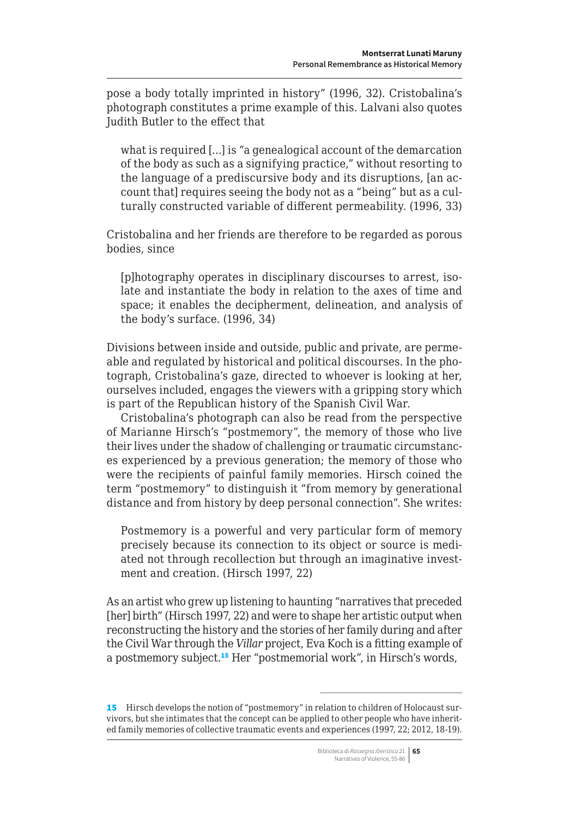pose a body totally imprinted in history" (1996, 32). Cristobalina's photograph constitutes a prime example of this. Lalvani also quotes Judith Butler to the effect that

what is required […] is "a genealogical account of the demarcation of the body as such as a signifying practice," without resorting to the language of a prediscursive body and its disruptions, [an account that] requires seeing the body not as a "being" but as a culturally constructed variable of different permeability. (1996, 33)

Cristobalina and her friends are therefore to be regarded as porous bodies, since

[p]hotography operates in disciplinary discourses to arrest, isolate and instantiate the body in relation to the axes of time and space; it enables the decipherment, delineation, and analysis of the body's surface. (1996, 34)

Divisions between inside and outside, public and private, are permeable and regulated by historical and political discourses. In the photograph, Cristobalina's gaze, directed to whoever is looking at her, ourselves included, engages the viewers with a gripping story which is part of the Republican history of the Spanish Civil War.

Cristobalina's photograph can also be read from the perspective of Marianne Hirsch's "postmemory", the memory of those who live their lives under the shadow of challenging or traumatic circumstances experienced by a previous generation; the memory of those who were the recipients of painful family memories. Hirsch coined the term "postmemory" to distinguish it "from memory by generational distance and from history by deep personal connection". She writes:

Postmemory is a powerful and very particular form of memory precisely because its connection to its object or source is mediated not through recollection but through an imaginative investment and creation. (Hirsch 1997, 22)

As an artist who grew up listening to haunting "narratives that preceded [her] birth" (Hirsch 1997, 22) and were to shape her artistic output when reconstructing the history and the stories of her family during and after the Civil War through the *Villar* project, Eva Koch is a fitting example of a postmemory subject.<sup>15</sup> Her "postmemorial work", in Hirsch's words,

Biblioteca di *Rassegna iberistica* 21 **65** Narratives of Violence, 55-86

<sup>15</sup> Hirsch develops the notion of "postmemory" in relation to children of Holocaust survivors, but she intimates that the concept can be applied to other people who have inherited family memories of collective traumatic events and experiences (1997, 22; 2012, 18-19).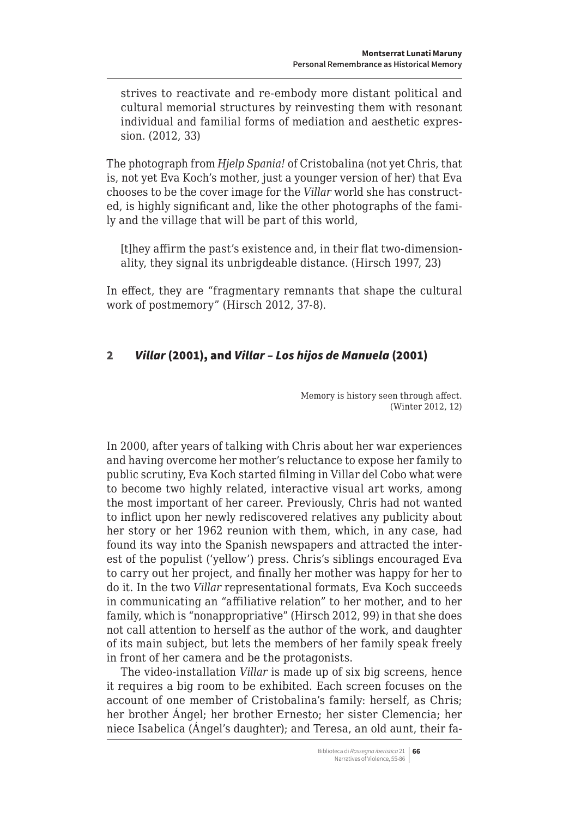<span id="page-11-0"></span>strives to reactivate and re-embody more distant political and cultural memorial structures by reinvesting them with resonant individual and familial forms of mediation and aesthetic expression. (2012, 33)

The photograph from *Hjelp Spania!* of Cristobalina (not yet Chris, that is, not yet Eva Koch's mother, just a younger version of her) that Eva chooses to be the cover image for the *Villar* world she has constructed, is highly significant and, like the other photographs of the family and the village that will be part of this world,

[t]hey affirm the past's existence and, in their flat two-dimensionality, they signal its unbrigdeable distance. (Hirsch 1997, 23)

In effect, they are "fragmentary remnants that shape the cultural work of postmemory" (Hirsch 2012, 37-8).

# 2 *Villar* (2001), and *Villar – Los hijos de Manuela* (2001)

Memory is history seen through affect. (Winter 2012, 12)

In 2000, after years of talking with Chris about her war experiences and having overcome her mother's reluctance to expose her family to public scrutiny, Eva Koch started filming in Villar del Cobo what were to become two highly related, interactive visual art works, among the most important of her career. Previously, Chris had not wanted to inflict upon her newly rediscovered relatives any publicity about her story or her 1962 reunion with them, which, in any case, had found its way into the Spanish newspapers and attracted the interest of the populist ('yellow') press. Chris's siblings encouraged Eva to carry out her project, and finally her mother was happy for her to do it. In the two *Villar* representational formats, Eva Koch succeeds in communicating an "affiliative relation" to her mother, and to her family, which is "nonappropriative" (Hirsch 2012, 99) in that she does not call attention to herself as the author of the work, and daughter of its main subject, but lets the members of her family speak freely in front of her camera and be the protagonists.

The video-installation *Villar* is made up of six big screens, hence it requires a big room to be exhibited. Each screen focuses on the account of one member of Cristobalina's family: herself, as Chris; her brother Ángel; her brother Ernesto; her sister Clemencia; her niece Isabelica (Ángel's daughter); and Teresa, an old aunt, their fa-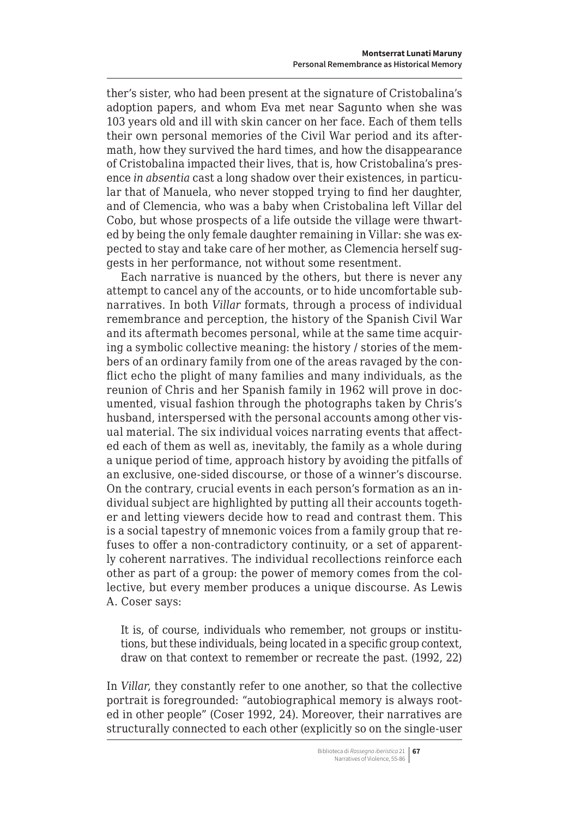ther's sister, who had been present at the signature of Cristobalina's adoption papers, and whom Eva met near Sagunto when she was 103 years old and ill with skin cancer on her face. Each of them tells their own personal memories of the Civil War period and its aftermath, how they survived the hard times, and how the disappearance of Cristobalina impacted their lives, that is, how Cristobalina's presence *in absentia* cast a long shadow over their existences, in particular that of Manuela, who never stopped trying to find her daughter, and of Clemencia, who was a baby when Cristobalina left Villar del Cobo, but whose prospects of a life outside the village were thwarted by being the only female daughter remaining in Villar: she was expected to stay and take care of her mother, as Clemencia herself suggests in her performance, not without some resentment.

Each narrative is nuanced by the others, but there is never any attempt to cancel any of the accounts, or to hide uncomfortable subnarratives. In both *Villar* formats, through a process of individual remembrance and perception, the history of the Spanish Civil War and its aftermath becomes personal, while at the same time acquiring a symbolic collective meaning: the history / stories of the members of an ordinary family from one of the areas ravaged by the conflict echo the plight of many families and many individuals, as the reunion of Chris and her Spanish family in 1962 will prove in documented, visual fashion through the photographs taken by Chris's husband, interspersed with the personal accounts among other visual material. The six individual voices narrating events that affected each of them as well as, inevitably, the family as a whole during a unique period of time, approach history by avoiding the pitfalls of an exclusive, one-sided discourse, or those of a winner's discourse. On the contrary, crucial events in each person's formation as an individual subject are highlighted by putting all their accounts together and letting viewers decide how to read and contrast them. This is a social tapestry of mnemonic voices from a family group that refuses to offer a non-contradictory continuity, or a set of apparently coherent narratives. The individual recollections reinforce each other as part of a group: the power of memory comes from the collective, but every member produces a unique discourse. As Lewis A. Coser says:

It is, of course, individuals who remember, not groups or institutions, but these individuals, being located in a specific group context, draw on that context to remember or recreate the past. (1992, 22)

In *Villar*, they constantly refer to one another, so that the collective portrait is foregrounded: "autobiographical memory is always rooted in other people" (Coser 1992, 24). Moreover, their narratives are structurally connected to each other (explicitly so on the single-user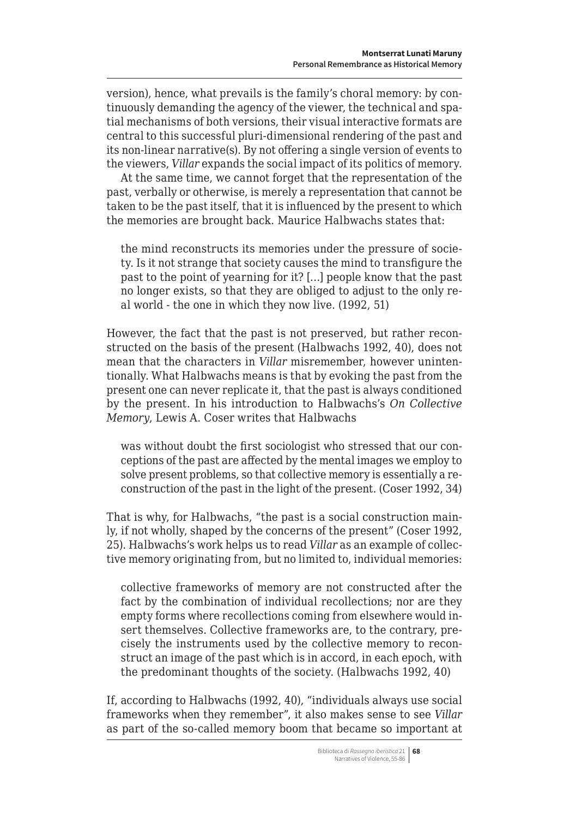version), hence, what prevails is the family's choral memory: by continuously demanding the agency of the viewer, the technical and spatial mechanisms of both versions, their visual interactive formats are central to this successful pluri-dimensional rendering of the past and its non-linear narrative(s). By not offering a single version of events to the viewers, *Villar* expands the social impact of its politics of memory.

At the same time, we cannot forget that the representation of the past, verbally or otherwise, is merely a representation that cannot be taken to be the past itself, that it is influenced by the present to which the memories are brought back. Maurice Halbwachs states that:

the mind reconstructs its memories under the pressure of society. Is it not strange that society causes the mind to transfigure the past to the point of yearning for it? […] people know that the past no longer exists, so that they are obliged to adjust to the only real world - the one in which they now live. (1992, 51)

However, the fact that the past is not preserved, but rather reconstructed on the basis of the present (Halbwachs 1992, 40), does not mean that the characters in *Villar* misremember, however unintentionally. What Halbwachs means is that by evoking the past from the present one can never replicate it, that the past is always conditioned by the present. In his introduction to Halbwachs's *On Collective Memory*, Lewis A. Coser writes that Halbwachs

was without doubt the first sociologist who stressed that our conceptions of the past are affected by the mental images we employ to solve present problems, so that collective memory is essentially a reconstruction of the past in the light of the present. (Coser 1992, 34)

That is why, for Halbwachs, "the past is a social construction mainly, if not wholly, shaped by the concerns of the present" (Coser 1992, 25). Halbwachs's work helps us to read *Villar* as an example of collective memory originating from, but no limited to, individual memories:

collective frameworks of memory are not constructed after the fact by the combination of individual recollections; nor are they empty forms where recollections coming from elsewhere would insert themselves. Collective frameworks are, to the contrary, precisely the instruments used by the collective memory to reconstruct an image of the past which is in accord, in each epoch, with the predominant thoughts of the society. (Halbwachs 1992, 40)

If, according to Halbwachs (1992, 40), "individuals always use social frameworks when they remember", it also makes sense to see *Villar*  as part of the so-called memory boom that became so important at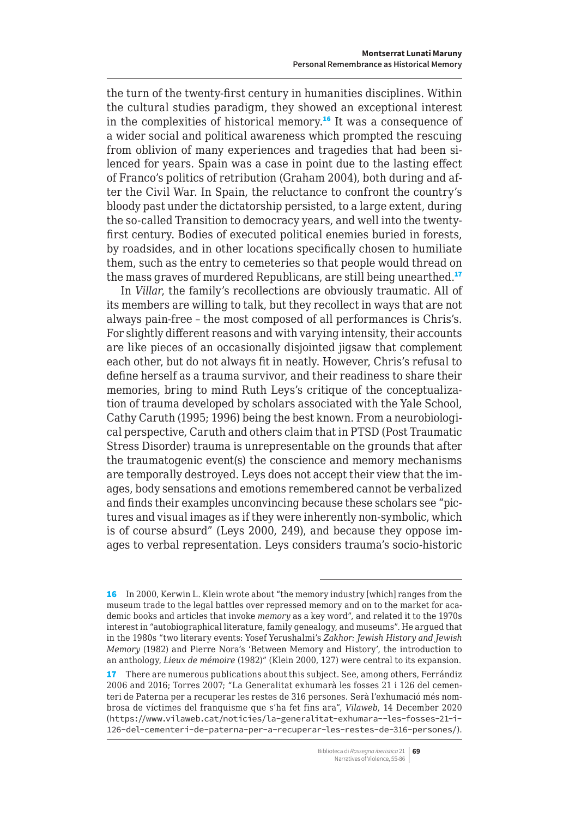the turn of the twenty-first century in humanities disciplines. Within the cultural studies paradigm, they showed an exceptional interest in the complexities of historical memory.<sup>16</sup> It was a consequence of a wider social and political awareness which prompted the rescuing from oblivion of many experiences and tragedies that had been silenced for years. Spain was a case in point due to the lasting effect of Franco's politics of retribution (Graham 2004), both during and after the Civil War. In Spain, the reluctance to confront the country's bloody past under the dictatorship persisted, to a large extent, during the so-called Transition to democracy years, and well into the twentyfirst century. Bodies of executed political enemies buried in forests, by roadsides, and in other locations specifically chosen to humiliate them, such as the entry to cemeteries so that people would thread on the mass graves of murdered Republicans, are still being unearthed.<sup>17</sup>

In *Villar*, the family's recollections are obviously traumatic. All of its members are willing to talk, but they recollect in ways that are not always pain-free – the most composed of all performances is Chris's. For slightly different reasons and with varying intensity, their accounts are like pieces of an occasionally disjointed jigsaw that complement each other, but do not always fit in neatly. However, Chris's refusal to define herself as a trauma survivor, and their readiness to share their memories, bring to mind Ruth Leys's critique of the conceptualization of trauma developed by scholars associated with the Yale School, Cathy Caruth (1995; 1996) being the best known. From a neurobiological perspective, Caruth and others claim that in PTSD (Post Traumatic Stress Disorder) trauma is unrepresentable on the grounds that after the traumatogenic event(s) the conscience and memory mechanisms are temporally destroyed. Leys does not accept their view that the images, body sensations and emotions remembered cannot be verbalized and finds their examples unconvincing because these scholars see "pictures and visual images as if they were inherently non-symbolic, which is of course absurd" (Leys 2000, 249), and because they oppose images to verbal representation. Leys considers trauma's socio-historic

17 There are numerous publications about this subject. See, among others, Ferrándiz 2006 and 2016; Torres 2007; "La Generalitat exhumarà les fosses 21 i 126 del cementeri de Paterna per a recuperar les restes de 316 persones. Serà l'exhumació més nombrosa de víctimes del franquisme que s'ha fet fins ara", *Vilaweb*, 14 December 2020 ([https://www.vilaweb.cat/noticies/la-generalitat-exhumara--les-fosses-21-i-](https://www.vilaweb.cat/noticies/la-generalitat-exhumara--les-fosses-21-i-126-del-cementeri-de-paterna-per-a-recuperar-les-restes-de-316-persones/)[126-del-cementeri-de-paterna-per-a-recuperar-les-restes-de-316-persones/](https://www.vilaweb.cat/noticies/la-generalitat-exhumara--les-fosses-21-i-126-del-cementeri-de-paterna-per-a-recuperar-les-restes-de-316-persones/)).

<sup>16</sup> In 2000, Kerwin L. Klein wrote about "the memory industry [which] ranges from the museum trade to the legal battles over repressed memory and on to the market for academic books and articles that invoke *memory* as a key word", and related it to the 1970s interest in "autobiographical literature, family genealogy, and museums". He argued that in the 1980s "two literary events: Yosef Yerushalmi's *Zakhor: Jewish History and Jewish Memory* (1982) and Pierre Nora's 'Between Memory and History', the introduction to an anthology, *Lieux de mémoire* (1982)" (Klein 2000, 127) were central to its expansion.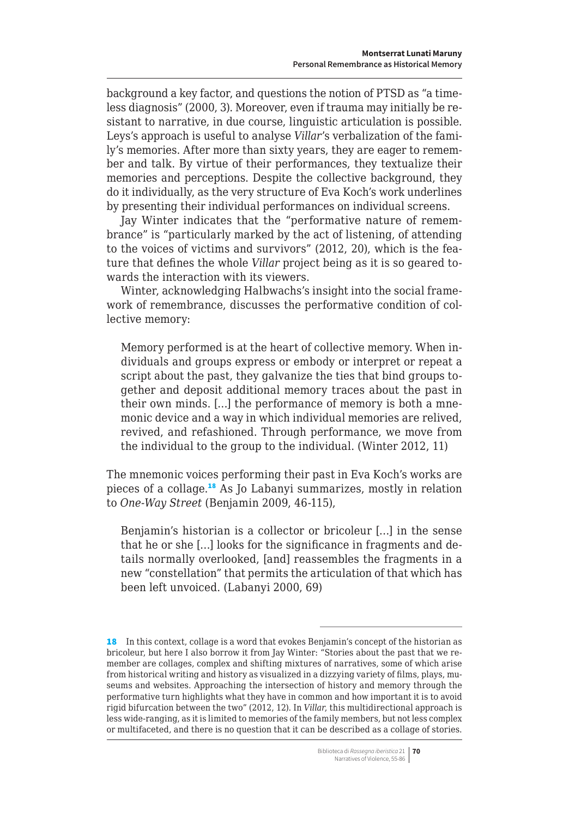background a key factor, and questions the notion of PTSD as "a timeless diagnosis" (2000, 3). Moreover, even if trauma may initially be resistant to narrative, in due course, linguistic articulation is possible. Leys's approach is useful to analyse *Villar*'s verbalization of the family's memories. After more than sixty years, they are eager to remember and talk. By virtue of their performances, they textualize their memories and perceptions. Despite the collective background, they do it individually, as the very structure of Eva Koch's work underlines by presenting their individual performances on individual screens.

Jay Winter indicates that the "performative nature of remembrance" is "particularly marked by the act of listening, of attending to the voices of victims and survivors" (2012, 20), which is the feature that defines the whole *Villar* project being as it is so geared towards the interaction with its viewers.

Winter, acknowledging Halbwachs's insight into the social framework of remembrance, discusses the performative condition of collective memory:

Memory performed is at the heart of collective memory. When individuals and groups express or embody or interpret or repeat a script about the past, they galvanize the ties that bind groups together and deposit additional memory traces about the past in their own minds. […] the performance of memory is both a mnemonic device and a way in which individual memories are relived, revived, and refashioned. Through performance, we move from the individual to the group to the individual. (Winter 2012, 11)

The mnemonic voices performing their past in Eva Koch's works are pieces of a collage.<sup>18</sup> As Jo Labanyi summarizes, mostly in relation to *One-Way Street* (Benjamin 2009, 46-115),

Benjamin's historian is a collector or bricoleur […] in the sense that he or she […] looks for the significance in fragments and details normally overlooked, [and] reassembles the fragments in a new "constellation" that permits the articulation of that which has been left unvoiced. (Labanyi 2000, 69)

<sup>18</sup> In this context, collage is a word that evokes Benjamin's concept of the historian as bricoleur, but here I also borrow it from Jay Winter: "Stories about the past that we remember are collages, complex and shifting mixtures of narratives, some of which arise from historical writing and history as visualized in a dizzying variety of films, plays, museums and websites. Approaching the intersection of history and memory through the performative turn highlights what they have in common and how important it is to avoid rigid bifurcation between the two" (2012, 12). In *Villar*, this multidirectional approach is less wide-ranging, as it is limited to memories of the family members, but not less complex or multifaceted, and there is no question that it can be described as a collage of stories.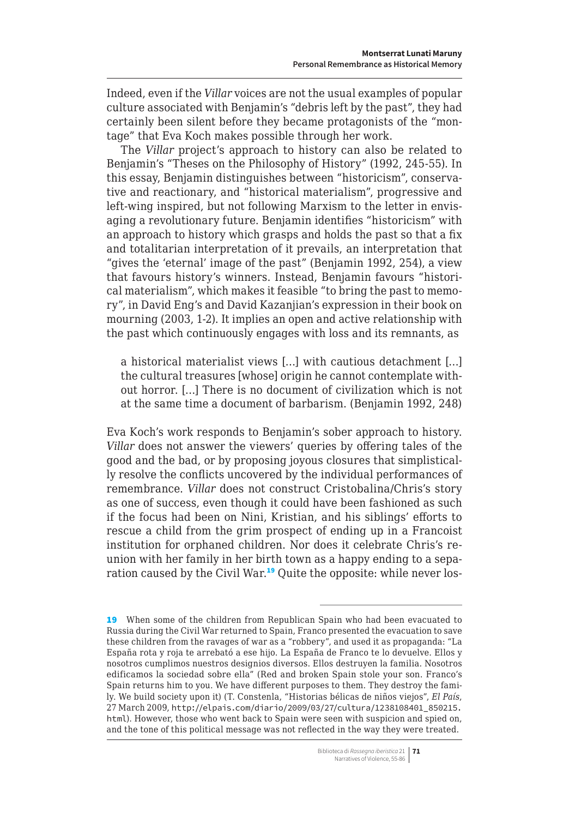Indeed, even if the *Villar* voices are not the usual examples of popular culture associated with Benjamin's "debris left by the past", they had certainly been silent before they became protagonists of the "montage" that Eva Koch makes possible through her work.

The *Villar* project's approach to history can also be related to Benjamin's "Theses on the Philosophy of History" (1992, 245-55). In this essay, Benjamin distinguishes between "historicism", conservative and reactionary, and "historical materialism", progressive and left-wing inspired, but not following Marxism to the letter in envisaging a revolutionary future. Benjamin identifies "historicism" with an approach to history which grasps and holds the past so that a fix and totalitarian interpretation of it prevails, an interpretation that "gives the 'eternal' image of the past" (Benjamin 1992, 254), a view that favours history's winners. Instead, Benjamin favours "historical materialism", which makes it feasible "to bring the past to memory", in David Eng's and David Kazanjian's expression in their book on mourning (2003, 1-2). It implies an open and active relationship with the past which continuously engages with loss and its remnants, as

a historical materialist views […] with cautious detachment […] the cultural treasures [whose] origin he cannot contemplate without horror. […] There is no document of civilization which is not at the same time a document of barbarism. (Benjamin 1992, 248)

Eva Koch's work responds to Benjamin's sober approach to history. *Villar* does not answer the viewers' queries by offering tales of the good and the bad, or by proposing joyous closures that simplistically resolve the conflicts uncovered by the individual performances of remembrance. *Villar* does not construct Cristobalina/Chris's story as one of success, even though it could have been fashioned as such if the focus had been on Nini, Kristian, and his siblings' efforts to rescue a child from the grim prospect of ending up in a Francoist institution for orphaned children. Nor does it celebrate Chris's reunion with her family in her birth town as a happy ending to a separation caused by the Civil War.<sup>19</sup> Quite the opposite: while never los-

<sup>19</sup> When some of the children from Republican Spain who had been evacuated to Russia during the Civil War returned to Spain, Franco presented the evacuation to save these children from the ravages of war as a "robbery", and used it as propaganda: "La España rota y roja te arrebató a ese hijo. La España de Franco te lo devuelve. Ellos y nosotros cumplimos nuestros designios diversos. Ellos destruyen la familia. Nosotros edificamos la sociedad sobre ella" (Red and broken Spain stole your son. Franco's Spain returns him to you. We have different purposes to them. They destroy the family. We build society upon it) (T. Constenla, "Historias bélicas de niños viejos", *El País*, 27 March 2009, [http://elpais.com/diario/2009/03/27/cultura/1238108401\\_850215.](http://elpais.com/diario/2009/03/27/cultura/1238108401_850215.html) [html](http://elpais.com/diario/2009/03/27/cultura/1238108401_850215.html)). However, those who went back to Spain were seen with suspicion and spied on, and the tone of this political message was not reflected in the way they were treated.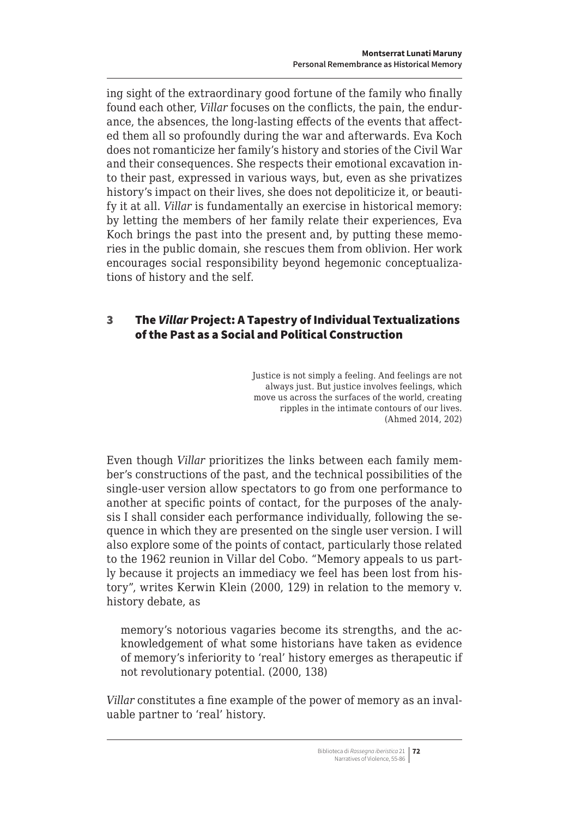<span id="page-17-0"></span>ing sight of the extraordinary good fortune of the family who finally found each other, *Villar* focuses on the conflicts, the pain, the endurance, the absences, the long-lasting effects of the events that affected them all so profoundly during the war and afterwards. Eva Koch does not romanticize her family's history and stories of the Civil War and their consequences. She respects their emotional excavation into their past, expressed in various ways, but, even as she privatizes history's impact on their lives, she does not depoliticize it, or beautify it at all. *Villar* is fundamentally an exercise in historical memory: by letting the members of her family relate their experiences, Eva Koch brings the past into the present and, by putting these memories in the public domain, she rescues them from oblivion. Her work encourages social responsibility beyond hegemonic conceptualizations of history and the self.

# 3 The *Villar* Project: A Tapestry of Individual Textualizations of the Past as a Social and Political Construction

Justice is not simply a feeling. And feelings are not always just. But justice involves feelings, which move us across the surfaces of the world, creating ripples in the intimate contours of our lives. (Ahmed 2014, 202)

Even though *Villar* prioritizes the links between each family member's constructions of the past, and the technical possibilities of the single-user version allow spectators to go from one performance to another at specific points of contact, for the purposes of the analysis I shall consider each performance individually, following the sequence in which they are presented on the single user version. I will also explore some of the points of contact, particularly those related to the 1962 reunion in Villar del Cobo. "Memory appeals to us partly because it projects an immediacy we feel has been lost from history", writes Kerwin Klein (2000, 129) in relation to the memory v. history debate, as

memory's notorious vagaries become its strengths, and the acknowledgement of what some historians have taken as evidence of memory's inferiority to 'real' history emerges as therapeutic if not revolutionary potential. (2000, 138)

*Villar* constitutes a fine example of the power of memory as an invaluable partner to 'real' history.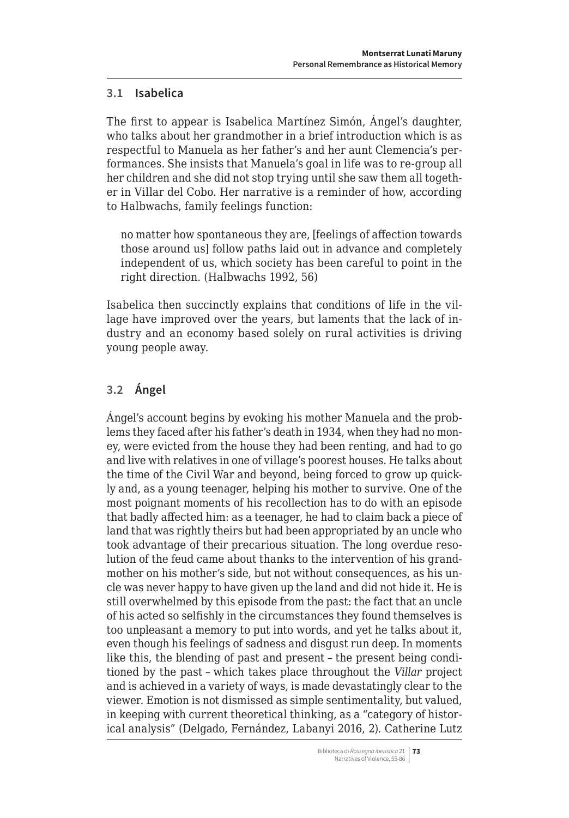### <span id="page-18-0"></span>**3.1 Isabelica**

The first to appear is Isabelica Martínez Simón, Ángel's daughter, who talks about her grandmother in a brief introduction which is as respectful to Manuela as her father's and her aunt Clemencia's performances. She insists that Manuela's goal in life was to re-group all her children and she did not stop trying until she saw them all together in Villar del Cobo. Her narrative is a reminder of how, according to Halbwachs, family feelings function:

no matter how spontaneous they are, [feelings of affection towards those around us] follow paths laid out in advance and completely independent of us, which society has been careful to point in the right direction. (Halbwachs 1992, 56)

Isabelica then succinctly explains that conditions of life in the village have improved over the years, but laments that the lack of industry and an economy based solely on rural activities is driving young people away.

# **3.2 Ángel**

Ángel's account begins by evoking his mother Manuela and the problems they faced after his father's death in 1934, when they had no money, were evicted from the house they had been renting, and had to go and live with relatives in one of village's poorest houses. He talks about the time of the Civil War and beyond, being forced to grow up quickly and, as a young teenager, helping his mother to survive. One of the most poignant moments of his recollection has to do with an episode that badly affected him: as a teenager, he had to claim back a piece of land that was rightly theirs but had been appropriated by an uncle who took advantage of their precarious situation. The long overdue resolution of the feud came about thanks to the intervention of his grandmother on his mother's side, but not without consequences, as his uncle was never happy to have given up the land and did not hide it. He is still overwhelmed by this episode from the past: the fact that an uncle of his acted so selfishly in the circumstances they found themselves is too unpleasant a memory to put into words, and yet he talks about it, even though his feelings of sadness and disgust run deep. In moments like this, the blending of past and present – the present being conditioned by the past – which takes place throughout the *Villar* project and is achieved in a variety of ways, is made devastatingly clear to the viewer. Emotion is not dismissed as simple sentimentality, but valued, in keeping with current theoretical thinking, as a "category of historical analysis" (Delgado, Fernández, Labanyi 2016, 2). Catherine Lutz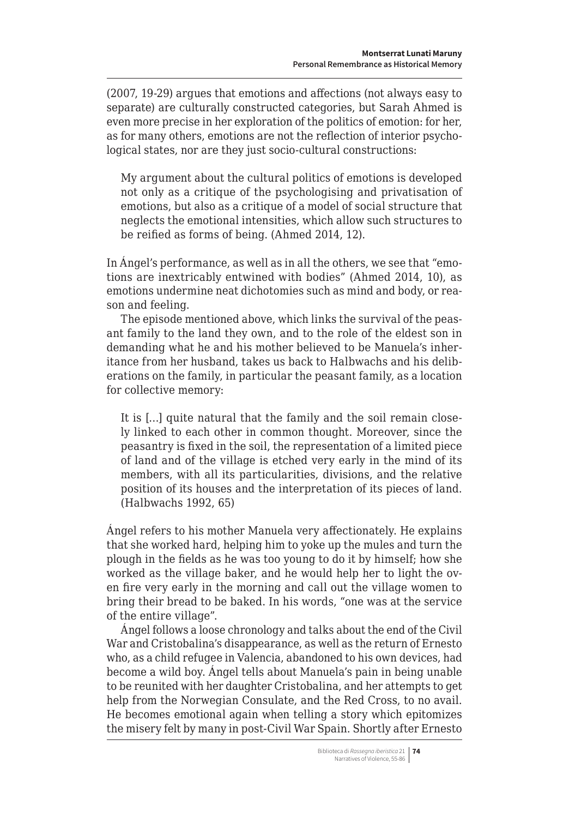(2007, 19-29) argues that emotions and affections (not always easy to separate) are culturally constructed categories, but Sarah Ahmed is even more precise in her exploration of the politics of emotion: for her, as for many others, emotions are not the reflection of interior psychological states, nor are they just socio-cultural constructions:

My argument about the cultural politics of emotions is developed not only as a critique of the psychologising and privatisation of emotions, but also as a critique of a model of social structure that neglects the emotional intensities, which allow such structures to be reified as forms of being. (Ahmed 2014, 12).

In Ángel's performance, as well as in all the others, we see that "emotions are inextricably entwined with bodies" (Ahmed 2014, 10), as emotions undermine neat dichotomies such as mind and body, or reason and feeling.

The episode mentioned above, which links the survival of the peasant family to the land they own, and to the role of the eldest son in demanding what he and his mother believed to be Manuela's inheritance from her husband, takes us back to Halbwachs and his deliberations on the family, in particular the peasant family, as a location for collective memory:

It is […] quite natural that the family and the soil remain closely linked to each other in common thought. Moreover, since the peasantry is fixed in the soil, the representation of a limited piece of land and of the village is etched very early in the mind of its members, with all its particularities, divisions, and the relative position of its houses and the interpretation of its pieces of land. (Halbwachs 1992, 65)

Ángel refers to his mother Manuela very affectionately. He explains that she worked hard, helping him to yoke up the mules and turn the plough in the fields as he was too young to do it by himself; how she worked as the village baker, and he would help her to light the oven fire very early in the morning and call out the village women to bring their bread to be baked. In his words, "one was at the service of the entire village".

Ángel follows a loose chronology and talks about the end of the Civil War and Cristobalina's disappearance, as well as the return of Ernesto who, as a child refugee in Valencia, abandoned to his own devices, had become a wild boy. Ángel tells about Manuela's pain in being unable to be reunited with her daughter Cristobalina, and her attempts to get help from the Norwegian Consulate, and the Red Cross, to no avail. He becomes emotional again when telling a story which epitomizes the misery felt by many in post-Civil War Spain. Shortly after Ernesto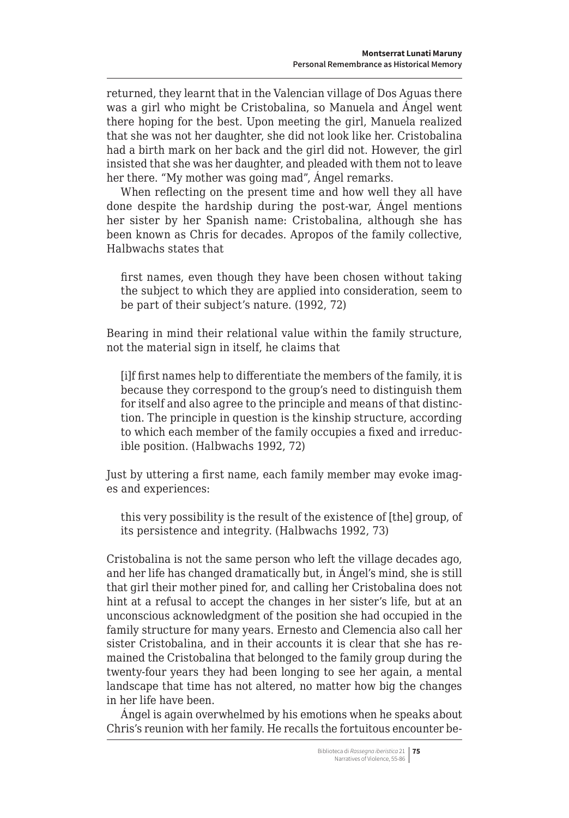returned, they learnt that in the Valencian village of Dos Aguas there was a girl who might be Cristobalina, so Manuela and Ángel went there hoping for the best. Upon meeting the girl, Manuela realized that she was not her daughter, she did not look like her. Cristobalina had a birth mark on her back and the girl did not. However, the girl insisted that she was her daughter, and pleaded with them not to leave her there. "My mother was going mad", Ángel remarks.

When reflecting on the present time and how well they all have done despite the hardship during the post-war, Ángel mentions her sister by her Spanish name: Cristobalina, although she has been known as Chris for decades. Apropos of the family collective, Halbwachs states that

first names, even though they have been chosen without taking the subject to which they are applied into consideration, seem to be part of their subject's nature. (1992, 72)

Bearing in mind their relational value within the family structure, not the material sign in itself, he claims that

[i]f first names help to differentiate the members of the family, it is because they correspond to the group's need to distinguish them for itself and also agree to the principle and means of that distinction. The principle in question is the kinship structure, according to which each member of the family occupies a fixed and irreducible position. (Halbwachs 1992, 72)

Just by uttering a first name, each family member may evoke images and experiences:

this very possibility is the result of the existence of [the] group, of its persistence and integrity. (Halbwachs 1992, 73)

Cristobalina is not the same person who left the village decades ago, and her life has changed dramatically but, in Ángel's mind, she is still that girl their mother pined for, and calling her Cristobalina does not hint at a refusal to accept the changes in her sister's life, but at an unconscious acknowledgment of the position she had occupied in the family structure for many years. Ernesto and Clemencia also call her sister Cristobalina, and in their accounts it is clear that she has remained the Cristobalina that belonged to the family group during the twenty-four years they had been longing to see her again, a mental landscape that time has not altered, no matter how big the changes in her life have been.

Ángel is again overwhelmed by his emotions when he speaks about Chris's reunion with her family. He recalls the fortuitous encounter be-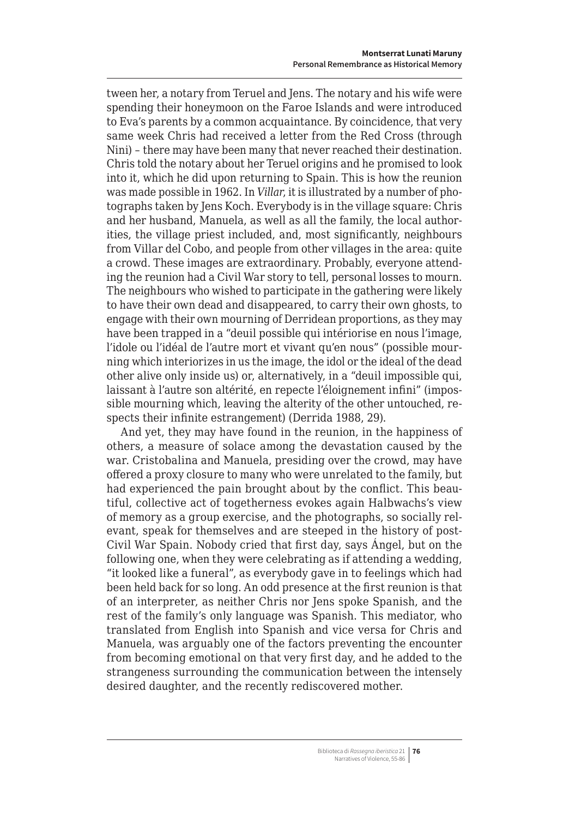tween her, a notary from Teruel and Jens. The notary and his wife were spending their honeymoon on the Faroe Islands and were introduced to Eva's parents by a common acquaintance. By coincidence, that very same week Chris had received a letter from the Red Cross (through Nini) – there may have been many that never reached their destination. Chris told the notary about her Teruel origins and he promised to look into it, which he did upon returning to Spain. This is how the reunion was made possible in 1962. In *Villar*, it is illustrated by a number of photographs taken by Jens Koch. Everybody is in the village square: Chris and her husband, Manuela, as well as all the family, the local authorities, the village priest included, and, most significantly, neighbours from Villar del Cobo, and people from other villages in the area: quite a crowd. These images are extraordinary. Probably, everyone attending the reunion had a Civil War story to tell, personal losses to mourn. The neighbours who wished to participate in the gathering were likely to have their own dead and disappeared, to carry their own ghosts, to engage with their own mourning of Derridean proportions, as they may have been trapped in a "deuil possible qui intériorise en nous l'image, l'idole ou l'idéal de l'autre mort et vivant qu'en nous" (possible mourning which interiorizes in us the image, the idol or the ideal of the dead other alive only inside us) or, alternatively, in a "deuil impossible qui, laissant à l'autre son altérité, en repecte l'éloignement infini" (impossible mourning which, leaving the alterity of the other untouched, respects their infinite estrangement) (Derrida 1988, 29).

And yet, they may have found in the reunion, in the happiness of others, a measure of solace among the devastation caused by the war. Cristobalina and Manuela, presiding over the crowd, may have offered a proxy closure to many who were unrelated to the family, but had experienced the pain brought about by the conflict. This beautiful, collective act of togetherness evokes again Halbwachs's view of memory as a group exercise, and the photographs, so socially relevant, speak for themselves and are steeped in the history of post-Civil War Spain. Nobody cried that first day, says Ángel, but on the following one, when they were celebrating as if attending a wedding, "it looked like a funeral", as everybody gave in to feelings which had been held back for so long. An odd presence at the first reunion is that of an interpreter, as neither Chris nor Jens spoke Spanish, and the rest of the family's only language was Spanish. This mediator, who translated from English into Spanish and vice versa for Chris and Manuela, was arguably one of the factors preventing the encounter from becoming emotional on that very first day, and he added to the strangeness surrounding the communication between the intensely desired daughter, and the recently rediscovered mother.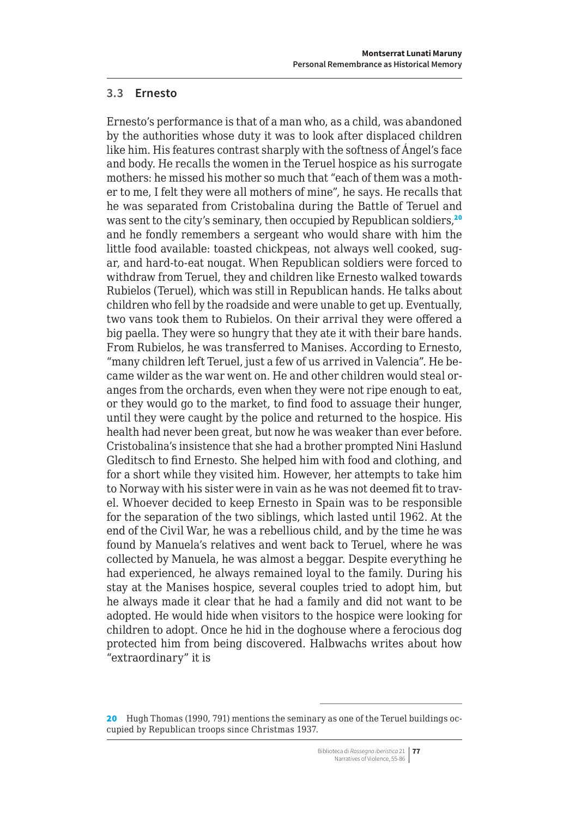### <span id="page-22-0"></span>**3.3 Ernesto**

Ernesto's performance is that of a man who, as a child, was abandoned by the authorities whose duty it was to look after displaced children like him. His features contrast sharply with the softness of Ángel's face and body. He recalls the women in the Teruel hospice as his surrogate mothers: he missed his mother so much that "each of them was a mother to me, I felt they were all mothers of mine", he says. He recalls that he was separated from Cristobalina during the Battle of Teruel and was sent to the city's seminary, then occupied by Republican soldiers.<sup>20</sup> and he fondly remembers a sergeant who would share with him the little food available: toasted chickpeas, not always well cooked, sugar, and hard-to-eat nougat. When Republican soldiers were forced to withdraw from Teruel, they and children like Ernesto walked towards Rubielos (Teruel), which was still in Republican hands. He talks about children who fell by the roadside and were unable to get up. Eventually, two vans took them to Rubielos. On their arrival they were offered a big paella. They were so hungry that they ate it with their bare hands. From Rubielos, he was transferred to Manises. According to Ernesto, "many children left Teruel, just a few of us arrived in Valencia". He became wilder as the war went on. He and other children would steal oranges from the orchards, even when they were not ripe enough to eat, or they would go to the market, to find food to assuage their hunger, until they were caught by the police and returned to the hospice. His health had never been great, but now he was weaker than ever before. Cristobalina's insistence that she had a brother prompted Nini Haslund Gleditsch to find Ernesto. She helped him with food and clothing, and for a short while they visited him. However, her attempts to take him to Norway with his sister were in vain as he was not deemed fit to travel. Whoever decided to keep Ernesto in Spain was to be responsible for the separation of the two siblings, which lasted until 1962. At the end of the Civil War, he was a rebellious child, and by the time he was found by Manuela's relatives and went back to Teruel, where he was collected by Manuela, he was almost a beggar. Despite everything he had experienced, he always remained loyal to the family. During his stay at the Manises hospice, several couples tried to adopt him, but he always made it clear that he had a family and did not want to be adopted. He would hide when visitors to the hospice were looking for children to adopt. Once he hid in the doghouse where a ferocious dog protected him from being discovered. Halbwachs writes about how "extraordinary" it is

<sup>20</sup> Hugh Thomas (1990, 791) mentions the seminary as one of the Teruel buildings occupied by Republican troops since Christmas 1937.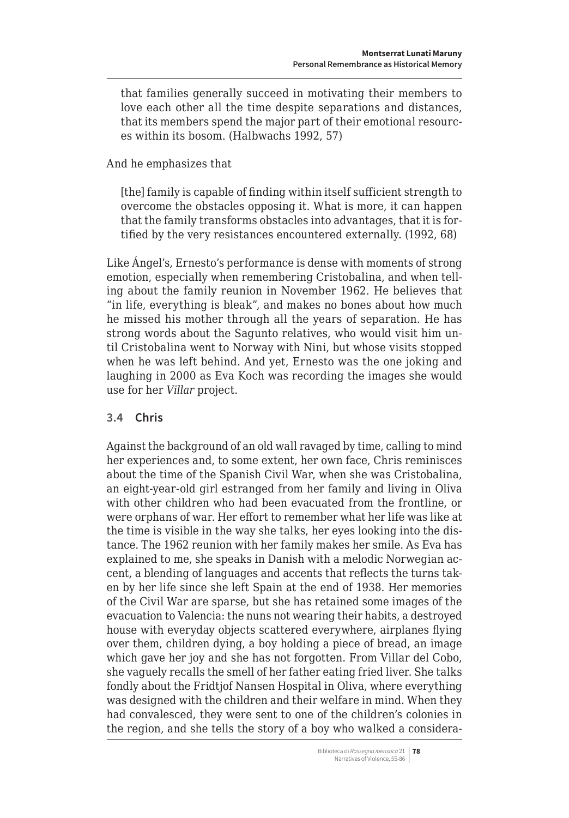that families generally succeed in motivating their members to love each other all the time despite separations and distances, that its members spend the major part of their emotional resources within its bosom. (Halbwachs 1992, 57)

And he emphasizes that

[the] family is capable of finding within itself sufficient strength to overcome the obstacles opposing it. What is more, it can happen that the family transforms obstacles into advantages, that it is fortified by the very resistances encountered externally. (1992, 68)

Like Ángel's, Ernesto's performance is dense with moments of strong emotion, especially when remembering Cristobalina, and when telling about the family reunion in November 1962. He believes that "in life, everything is bleak", and makes no bones about how much he missed his mother through all the years of separation. He has strong words about the Sagunto relatives, who would visit him until Cristobalina went to Norway with Nini, but whose visits stopped when he was left behind. And yet, Ernesto was the one joking and laughing in 2000 as Eva Koch was recording the images she would use for her *Villar* project.

# **3.4 Chris**

Against the background of an old wall ravaged by time, calling to mind her experiences and, to some extent, her own face, Chris reminisces about the time of the Spanish Civil War, when she was Cristobalina, an eight-year-old girl estranged from her family and living in Oliva with other children who had been evacuated from the frontline, or were orphans of war. Her effort to remember what her life was like at the time is visible in the way she talks, her eyes looking into the distance. The 1962 reunion with her family makes her smile. As Eva has explained to me, she speaks in Danish with a melodic Norwegian accent, a blending of languages and accents that reflects the turns taken by her life since she left Spain at the end of 1938. Her memories of the Civil War are sparse, but she has retained some images of the evacuation to Valencia: the nuns not wearing their habits, a destroyed house with everyday objects scattered everywhere, airplanes flying over them, children dying, a boy holding a piece of bread, an image which gave her joy and she has not forgotten. From Villar del Cobo, she vaguely recalls the smell of her father eating fried liver. She talks fondly about the Fridtjof Nansen Hospital in Oliva, where everything was designed with the children and their welfare in mind. When they had convalesced, they were sent to one of the children's colonies in the region, and she tells the story of a boy who walked a considera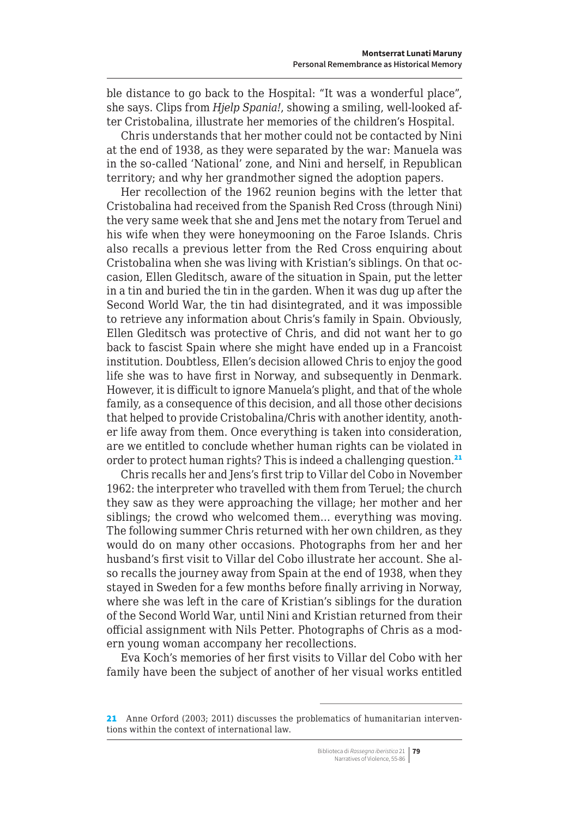<span id="page-24-0"></span>ble distance to go back to the Hospital: "It was a wonderful place", she says. Clips from *Hjelp Spania!*, showing a smiling, well-looked after Cristobalina, illustrate her memories of the children's Hospital.

Chris understands that her mother could not be contacted by Nini at the end of 1938, as they were separated by the war: Manuela was in the so-called 'National' zone, and Nini and herself, in Republican territory; and why her grandmother signed the adoption papers.

Her recollection of the 1962 reunion begins with the letter that Cristobalina had received from the Spanish Red Cross (through Nini) the very same week that she and Jens met the notary from Teruel and his wife when they were honeymooning on the Faroe Islands. Chris also recalls a previous letter from the Red Cross enquiring about Cristobalina when she was living with Kristian's siblings. On that occasion, Ellen Gleditsch, aware of the situation in Spain, put the letter in a tin and buried the tin in the garden. When it was dug up after the Second World War, the tin had disintegrated, and it was impossible to retrieve any information about Chris's family in Spain. Obviously, Ellen Gleditsch was protective of Chris, and did not want her to go back to fascist Spain where she might have ended up in a Francoist institution. Doubtless, Ellen's decision allowed Chris to enjoy the good life she was to have first in Norway, and subsequently in Denmark. However, it is difficult to ignore Manuela's plight, and that of the whole family, as a consequence of this decision, and all those other decisions that helped to provide Cristobalina/Chris with another identity, another life away from them. Once everything is taken into consideration, are we entitled to conclude whether human rights can be violated in order to protect human rights? This is indeed a challenging question.<sup>21</sup>

Chris recalls her and Jens's first trip to Villar del Cobo in November 1962: the interpreter who travelled with them from Teruel; the church they saw as they were approaching the village; her mother and her siblings; the crowd who welcomed them… everything was moving. The following summer Chris returned with her own children, as they would do on many other occasions. Photographs from her and her husband's first visit to Villar del Cobo illustrate her account. She also recalls the journey away from Spain at the end of 1938, when they stayed in Sweden for a few months before finally arriving in Norway, where she was left in the care of Kristian's siblings for the duration of the Second World War, until Nini and Kristian returned from their official assignment with Nils Petter. Photographs of Chris as a modern young woman accompany her recollections.

Eva Koch's memories of her first visits to Villar del Cobo with her family have been the subject of another of her visual works entitled

<sup>21</sup> Anne Orford (2003; 2011) discusses the problematics of humanitarian interventions within the context of international law.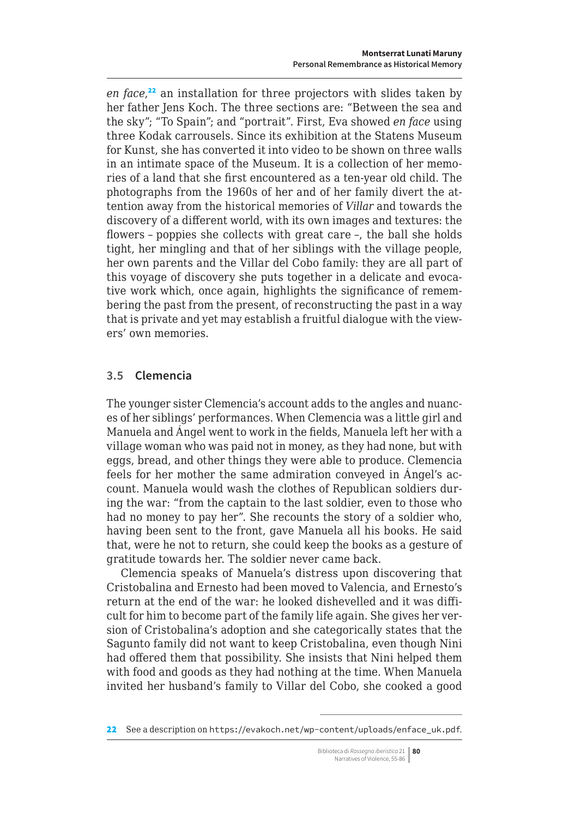*en face*, <sup>22</sup> an installation for three projectors with slides taken by her father Jens Koch. The three sections are: "Between the sea and the sky"; "To Spain"; and "portrait". First, Eva showed *en face* using three Kodak carrousels. Since its exhibition at the Statens Museum for Kunst, she has converted it into video to be shown on three walls in an intimate space of the Museum. It is a collection of her memories of a land that she first encountered as a ten-year old child. The photographs from the 1960s of her and of her family divert the attention away from the historical memories of *Villar* and towards the discovery of a different world, with its own images and textures: the flowers – poppies she collects with great care –, the ball she holds tight, her mingling and that of her siblings with the village people, her own parents and the Villar del Cobo family: they are all part of this voyage of discovery she puts together in a delicate and evocative work which, once again, highlights the significance of remembering the past from the present, of reconstructing the past in a way that is private and yet may establish a fruitful dialogue with the viewers' own memories.

### **3.5 Clemencia**

The younger sister Clemencia's account adds to the angles and nuances of her siblings' performances. When Clemencia was a little girl and Manuela and Ángel went to work in the fields, Manuela left her with a village woman who was paid not in money, as they had none, but with eggs, bread, and other things they were able to produce. Clemencia feels for her mother the same admiration conveyed in Ángel's account. Manuela would wash the clothes of Republican soldiers during the war: "from the captain to the last soldier, even to those who had no money to pay her". She recounts the story of a soldier who, having been sent to the front, gave Manuela all his books. He said that, were he not to return, she could keep the books as a gesture of gratitude towards her. The soldier never came back.

Clemencia speaks of Manuela's distress upon discovering that Cristobalina and Ernesto had been moved to Valencia, and Ernesto's return at the end of the war: he looked dishevelled and it was difficult for him to become part of the family life again. She gives her version of Cristobalina's adoption and she categorically states that the Sagunto family did not want to keep Cristobalina, even though Nini had offered them that possibility. She insists that Nini helped them with food and goods as they had nothing at the time. When Manuela invited her husband's family to Villar del Cobo, she cooked a good

<sup>22</sup> See a description on [https://evakoch.net/wp-content/uploads/enface\\_uk.pdf](https://evakoch.net/wp-content/uploads/enface_uk.pdf).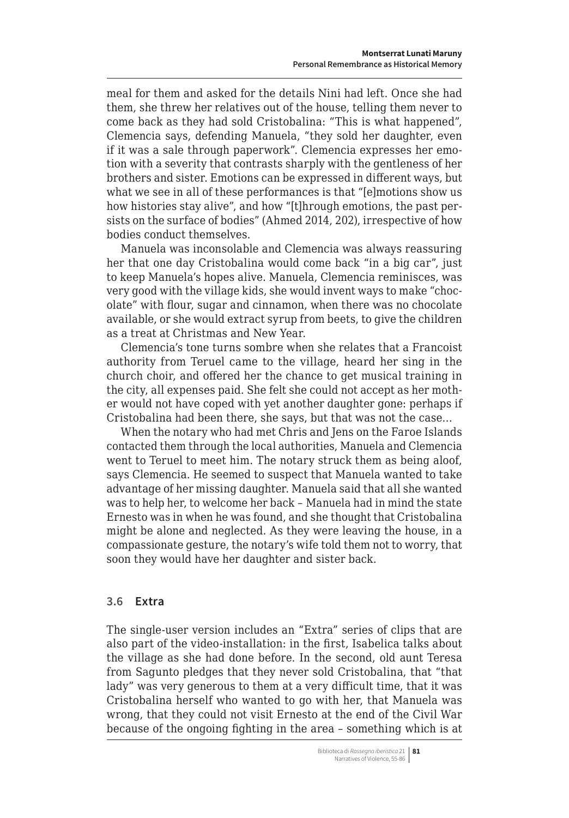<span id="page-26-0"></span>meal for them and asked for the details Nini had left. Once she had them, she threw her relatives out of the house, telling them never to come back as they had sold Cristobalina: "This is what happened", Clemencia says, defending Manuela, "they sold her daughter, even if it was a sale through paperwork". Clemencia expresses her emotion with a severity that contrasts sharply with the gentleness of her brothers and sister. Emotions can be expressed in different ways, but what we see in all of these performances is that "[e]motions show us how histories stay alive", and how "[t]hrough emotions, the past persists on the surface of bodies" (Ahmed 2014, 202), irrespective of how bodies conduct themselves.

Manuela was inconsolable and Clemencia was always reassuring her that one day Cristobalina would come back "in a big car", just to keep Manuela's hopes alive. Manuela, Clemencia reminisces, was very good with the village kids, she would invent ways to make "chocolate" with flour, sugar and cinnamon, when there was no chocolate available, or she would extract syrup from beets, to give the children as a treat at Christmas and New Year.

Clemencia's tone turns sombre when she relates that a Francoist authority from Teruel came to the village, heard her sing in the church choir, and offered her the chance to get musical training in the city, all expenses paid. She felt she could not accept as her mother would not have coped with yet another daughter gone: perhaps if Cristobalina had been there, she says, but that was not the case…

When the notary who had met Chris and Jens on the Faroe Islands contacted them through the local authorities, Manuela and Clemencia went to Teruel to meet him. The notary struck them as being aloof, says Clemencia. He seemed to suspect that Manuela wanted to take advantage of her missing daughter. Manuela said that all she wanted was to help her, to welcome her back – Manuela had in mind the state Ernesto was in when he was found, and she thought that Cristobalina might be alone and neglected. As they were leaving the house, in a compassionate gesture, the notary's wife told them not to worry, that soon they would have her daughter and sister back.

### **3.6 Extra**

The single-user version includes an "Extra" series of clips that are also part of the video-installation: in the first, Isabelica talks about the village as she had done before. In the second, old aunt Teresa from Sagunto pledges that they never sold Cristobalina, that "that lady" was very generous to them at a very difficult time, that it was Cristobalina herself who wanted to go with her, that Manuela was wrong, that they could not visit Ernesto at the end of the Civil War because of the ongoing fighting in the area – something which is at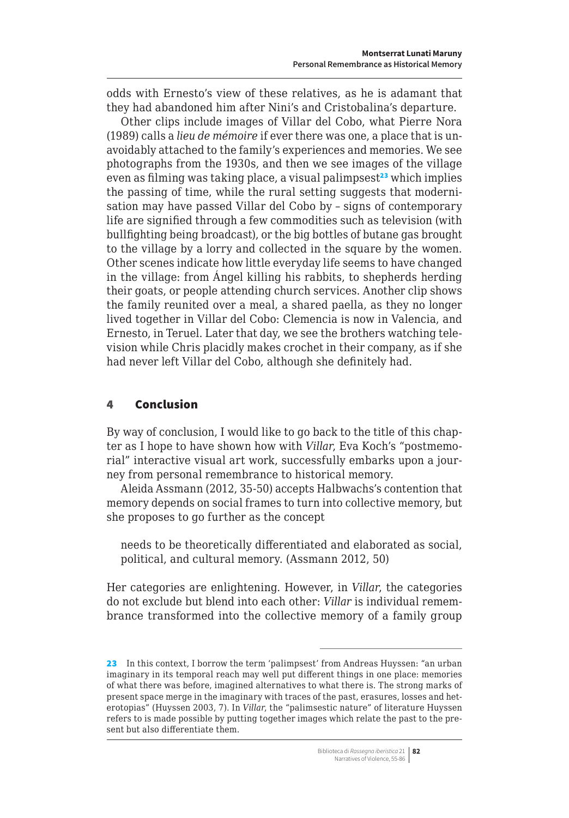<span id="page-27-0"></span>odds with Ernesto's view of these relatives, as he is adamant that they had abandoned him after Nini's and Cristobalina's departure.

Other clips include images of Villar del Cobo, what Pierre Nora (1989) calls a *lieu de mémoire* if ever there was one, a place that is unavoidably attached to the family's experiences and memories. We see photographs from the 1930s, and then we see images of the village even as filming was taking place, a visual palimpsest $2<sup>3</sup>$  which implies the passing of time, while the rural setting suggests that modernisation may have passed Villar del Cobo by – signs of contemporary life are signified through a few commodities such as television (with bullfighting being broadcast), or the big bottles of butane gas brought to the village by a lorry and collected in the square by the women. Other scenes indicate how little everyday life seems to have changed in the village: from Ángel killing his rabbits, to shepherds herding their goats, or people attending church services. Another clip shows the family reunited over a meal, a shared paella, as they no longer lived together in Villar del Cobo: Clemencia is now in Valencia, and Ernesto, in Teruel. Later that day, we see the brothers watching television while Chris placidly makes crochet in their company, as if she had never left Villar del Cobo, although she definitely had.

### 4 Conclusion

By way of conclusion, I would like to go back to the title of this chapter as I hope to have shown how with *Villar*, Eva Koch's "postmemorial" interactive visual art work, successfully embarks upon a journey from personal remembrance to historical memory.

Aleida Assmann (2012, 35-50) accepts Halbwachs's contention that memory depends on social frames to turn into collective memory, but she proposes to go further as the concept

needs to be theoretically differentiated and elaborated as social, political, and cultural memory. (Assmann 2012, 50)

Her categories are enlightening. However, in *Villar*, the categories do not exclude but blend into each other: *Villar* is individual remembrance transformed into the collective memory of a family group

Biblioteca di *Rassegna iberistica* 21 **82** Narratives of Violence, 55-86

<sup>23</sup> In this context, I borrow the term 'palimpsest' from Andreas Huyssen: "an urban imaginary in its temporal reach may well put different things in one place: memories of what there was before, imagined alternatives to what there is. The strong marks of present space merge in the imaginary with traces of the past, erasures, losses and heterotopias" (Huyssen 2003, 7). In *Villar*, the "palimsestic nature" of literature Huyssen refers to is made possible by putting together images which relate the past to the present but also differentiate them.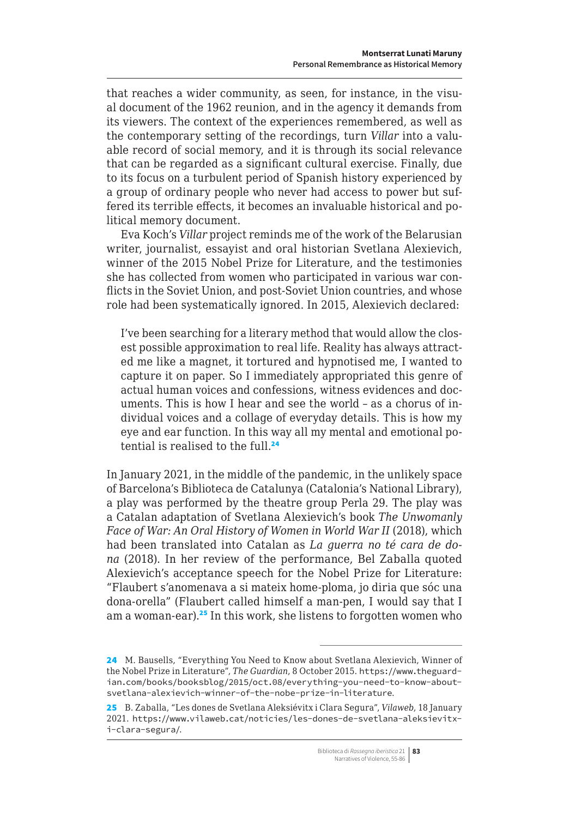<span id="page-28-0"></span>that reaches a wider community, as seen, for instance, in the visual document of the 1962 reunion, and in the agency it demands from its viewers. The context of the experiences remembered, as well as the contemporary setting of the recordings, turn *Villar* into a valuable record of social memory, and it is through its social relevance that can be regarded as a significant cultural exercise. Finally, due to its focus on a turbulent period of Spanish history experienced by a group of ordinary people who never had access to power but suffered its terrible effects, it becomes an invaluable historical and political memory document.

Eva Koch's *Villar* project reminds me of the work of the Belarusian writer, journalist, essayist and oral historian Svetlana Alexievich, winner of the 2015 Nobel Prize for Literature, and the testimonies she has collected from women who participated in various war conflicts in the Soviet Union, and post-Soviet Union countries, and whose role had been systematically ignored. In 2015, Alexievich declared:

I've been searching for a literary method that would allow the closest possible approximation to real life. Reality has always attracted me like a magnet, it tortured and hypnotised me, I wanted to capture it on paper. So I immediately appropriated this genre of actual human voices and confessions, witness evidences and documents. This is how I hear and see the world – as a chorus of individual voices and a collage of everyday details. This is how my eye and ear function. In this way all my mental and emotional potential is realised to the full.<sup>24</sup>

In January 2021, in the middle of the pandemic, in the unlikely space of Barcelona's Biblioteca de Catalunya (Catalonia's National Library), a play was performed by the theatre group Perla 29. The play was a Catalan adaptation of Svetlana Alexievich's book *The Unwomanly Face of War: An Oral History of Women in World War II* (2018), which had been translated into Catalan as *La guerra no té cara de dona* (2018). In her review of the performance, Bel Zaballa quoted Alexievich's acceptance speech for the Nobel Prize for Literature: "Flaubert s'anomenava a si mateix home-ploma, jo diria que sóc una dona-orella" (Flaubert called himself a man-pen, I would say that I am a woman-ear).<sup>25</sup> In this work, she listens to forgotten women who

<sup>24</sup> M. Bausells, "Everything You Need to Know about Svetlana Alexievich, Winner of the Nobel Prize in Literature", *The Guardian*, 8 October 2015. [https://www.theguard](https://www.theguardian.com/books/booksblog/2015/oct.08/everything-you-need-to-know-about-svetlana-alexievich-winner-of-the-nobe-prize-in-literature)[ian.com/books/booksblog/2015/oct.08/everything-you-need-to-know-about](https://www.theguardian.com/books/booksblog/2015/oct.08/everything-you-need-to-know-about-svetlana-alexievich-winner-of-the-nobe-prize-in-literature)[svetlana-alexievich-winner-of-the-nobe-prize-in-literature](https://www.theguardian.com/books/booksblog/2015/oct.08/everything-you-need-to-know-about-svetlana-alexievich-winner-of-the-nobe-prize-in-literature).

<sup>25</sup> B. Zaballa, "Les dones de Svetlana Aleksiévitx i Clara Segura", *Vilaweb*, 18 January 2021. [https://www.vilaweb.cat/noticies/les-dones-de-svetlana-aleksievitx](https://www.vilaweb.cat/noticies/les-dones-de-svetlana-aleksievitx-i-clara-segura/)[i-clara-segura/](https://www.vilaweb.cat/noticies/les-dones-de-svetlana-aleksievitx-i-clara-segura/).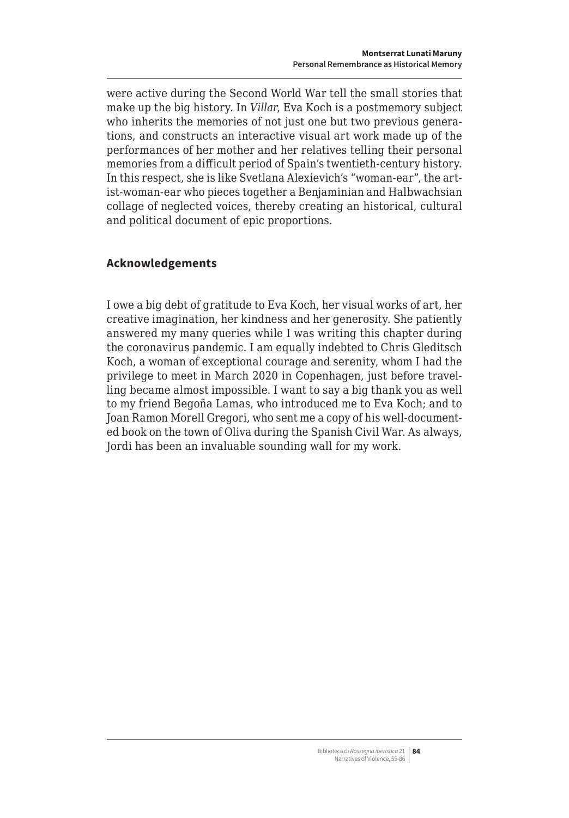were active during the Second World War tell the small stories that make up the big history. In *Villar*, Eva Koch is a postmemory subject who inherits the memories of not just one but two previous generations, and constructs an interactive visual art work made up of the performances of her mother and her relatives telling their personal memories from a difficult period of Spain's twentieth-century history. In this respect, she is like Svetlana Alexievich's "woman-ear", the artist-woman-ear who pieces together a Benjaminian and Halbwachsian collage of neglected voices, thereby creating an historical, cultural and political document of epic proportions.

# **Acknowledgements**

I owe a big debt of gratitude to Eva Koch, her visual works of art, her creative imagination, her kindness and her generosity. She patiently answered my many queries while I was writing this chapter during the coronavirus pandemic. I am equally indebted to Chris Gleditsch Koch, a woman of exceptional courage and serenity, whom I had the privilege to meet in March 2020 in Copenhagen, just before travelling became almost impossible. I want to say a big thank you as well to my friend Begoña Lamas, who introduced me to Eva Koch; and to Joan Ramon Morell Gregori, who sent me a copy of his well-documented book on the town of Oliva during the Spanish Civil War. As always, Jordi has been an invaluable sounding wall for my work.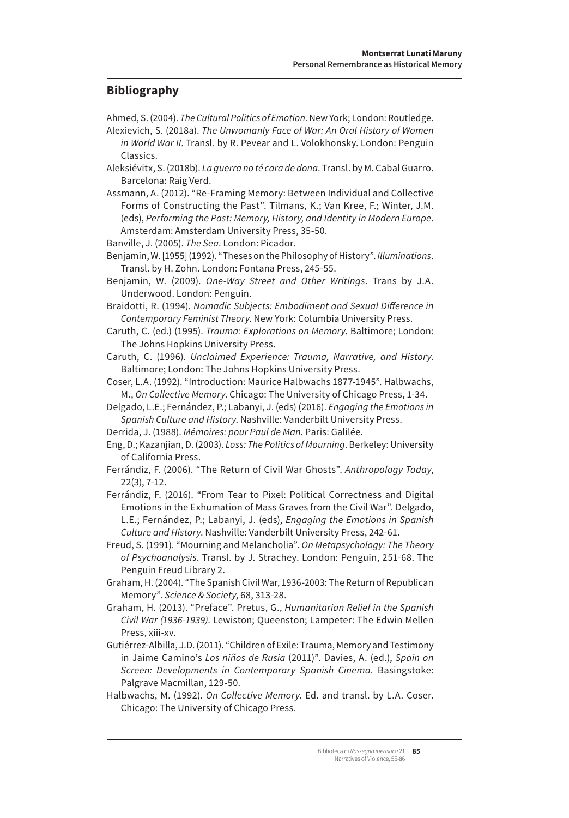# **Bibliography**

- Ahmed, S. (2004). *The Cultural Politics of Emotion*. New York; London: Routledge.
- Alexievich, S. (2018a). *The Unwomanly Face of War: An Oral History of Women in World War II*. Transl. by R. Pevear and L. Volokhonsky. London: Penguin Classics.
- Aleksiévitx, S. (2018b). *La guerra no té cara de dona*. Transl. by M. Cabal Guarro. Barcelona: Raig Verd.
- Assmann, A. (2012). "Re-Framing Memory: Between Individual and Collective Forms of Constructing the Past". Tilmans, K.; Van Kree, F.; Winter, J.M. (eds), *Performing the Past: Memory, History, and Identity in Modern Europe*. Amsterdam: Amsterdam University Press, 35-50.
- Banville, J. (2005). *The Sea*. London: Picador.
- Benjamin, W. [1955] (1992). "Theses on the Philosophy of History". *Illuminations*. Transl. by H. Zohn. London: Fontana Press, 245-55.
- Benjamin, W. (2009). *One-Way Street and Other Writings*. Trans by J.A. Underwood. London: Penguin.
- Braidotti, R. (1994). *Nomadic Subjects: Embodiment and Sexual Difference in Contemporary Feminist Theory*. New York: Columbia University Press.
- Caruth, C. (ed.) (1995). *Trauma: Explorations on Memory*. Baltimore; London: The Johns Hopkins University Press.
- Caruth, C. (1996). *Unclaimed Experience: Trauma, Narrative, and History*. Baltimore; London: The Johns Hopkins University Press.
- Coser, L.A. (1992). "Introduction: Maurice Halbwachs 1877-1945". Halbwachs, M., *On Collective Memory*. Chicago: The University of Chicago Press, 1-34.
- Delgado, L.E.; Fernández, P.; Labanyi, J. (eds) (2016). *Engaging the Emotions in Spanish Culture and History*. Nashville: Vanderbilt University Press.
- Derrida, J. (1988). *Mémoires: pour Paul de Man*. Paris: Galilée.
- Eng, D.; Kazanjian, D. (2003). *Loss: The Politics of Mourning*. Berkeley: University of California Press.
- Ferrándiz, F. (2006). "The Return of Civil War Ghosts". *Anthropology Today*, 22(3), 7-12.
- Ferrándiz, F. (2016). "From Tear to Pixel: Political Correctness and Digital Emotions in the Exhumation of Mass Graves from the Civil War". Delgado, L.E.; Fernández, P.; Labanyi, J. (eds), *Engaging the Emotions in Spanish Culture and History*. Nashville: Vanderbilt University Press, 242-61.

Freud, S. (1991). "Mourning and Melancholia". *On Metapsychology: The Theory of Psychoanalysis*. Transl. by J. Strachey. London: Penguin, 251-68. The Penguin Freud Library 2.

- Graham, H. (2004). "The Spanish Civil War, 1936-2003: The Return of Republican Memory". *Science & Society*, 68, 313-28.
- Graham, H. (2013). "Preface". Pretus, G., *Humanitarian Relief in the Spanish Civil War (1936-1939)*. Lewiston; Queenston; Lampeter: The Edwin Mellen Press, xiii-xv.
- Gutiérrez-Albilla, J.D. (2011). "Children of Exile: Trauma, Memory and Testimony in Jaime Camino's *Los niños de Rusia* (2011)". Davies, A. (ed.), *Spain on Screen: Developments in Contemporary Spanish Cinema*. Basingstoke: Palgrave Macmillan, 129-50.
- Halbwachs, M. (1992). *On Collective Memory*. Ed. and transl. by L.A. Coser. Chicago: The University of Chicago Press.